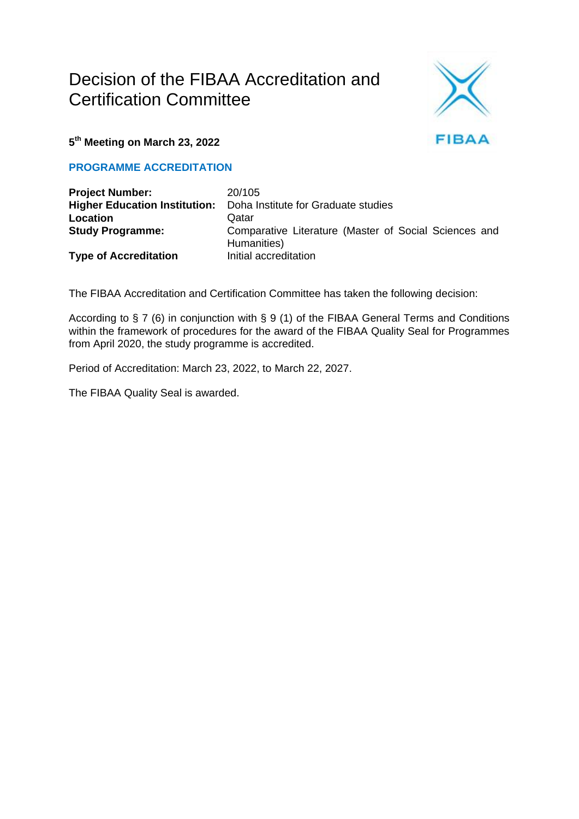# Decision of the FIBAA Accreditation and Certification Committee



**5 th Meeting on March 23, 2022**

**PROGRAMME ACCREDITATION**

| <b>Project Number:</b>               | 20/105                                                               |
|--------------------------------------|----------------------------------------------------------------------|
| <b>Higher Education Institution:</b> | Doha Institute for Graduate studies                                  |
| Location                             | Qatar                                                                |
| <b>Study Programme:</b>              | Comparative Literature (Master of Social Sciences and<br>Humanities) |
| <b>Type of Accreditation</b>         | Initial accreditation                                                |

The FIBAA Accreditation and Certification Committee has taken the following decision:

According to § 7 (6) in conjunction with § 9 (1) of the FIBAA General Terms and Conditions within the framework of procedures for the award of the FIBAA Quality Seal for Programmes from April 2020, the study programme is accredited.

Period of Accreditation: March 23, 2022, to March 22, 2027.

The FIBAA Quality Seal is awarded.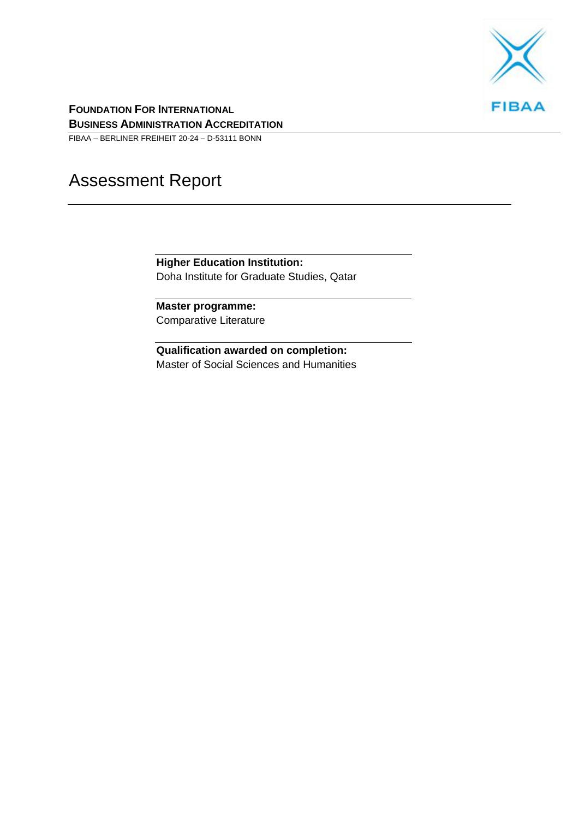

**FOUNDATION FOR INTERNATIONAL BUSINESS ADMINISTRATION ACCREDITATION**

FIBAA – BERLINER FREIHEIT 20-24 – D-53111 BONN

# Assessment Report

**Higher Education Institution:** Doha Institute for Graduate Studies, Qatar

**Master programme:** Comparative Literature

**Qualification awarded on completion:** Master of Social Sciences and Humanities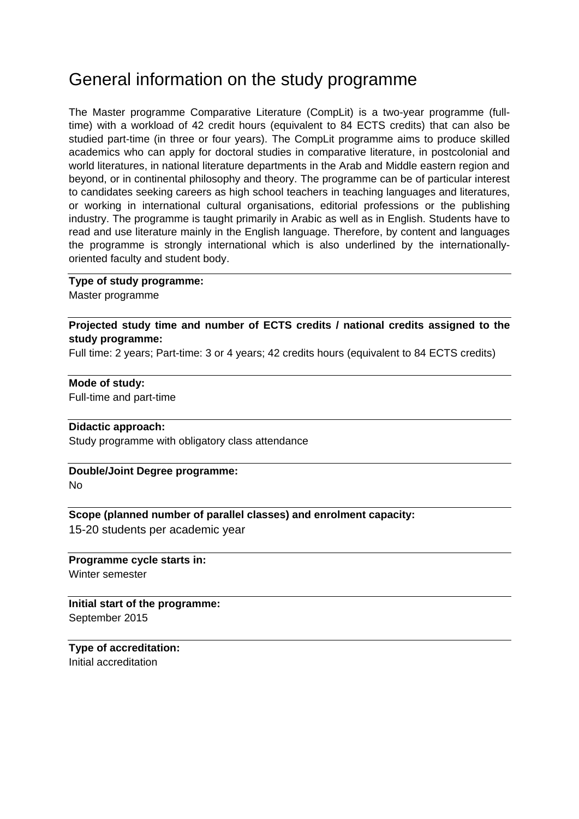## General information on the study programme

The Master programme Comparative Literature (CompLit) is a two-year programme (fulltime) with a workload of 42 credit hours (equivalent to 84 ECTS credits) that can also be studied part-time (in three or four years). The CompLit programme aims to produce skilled academics who can apply for doctoral studies in comparative literature, in postcolonial and world literatures, in national literature departments in the Arab and Middle eastern region and beyond, or in continental philosophy and theory. The programme can be of particular interest to candidates seeking careers as high school teachers in teaching languages and literatures, or working in international cultural organisations, editorial professions or the publishing industry. The programme is taught primarily in Arabic as well as in English. Students have to read and use literature mainly in the English language. Therefore, by content and languages the programme is strongly international which is also underlined by the internationallyoriented faculty and student body.

#### **Type of study programme:**

Master programme

**Projected study time and number of ECTS credits / national credits assigned to the study programme:**

Full time: 2 years; Part-time: 3 or 4 years; 42 credits hours (equivalent to 84 ECTS credits)

#### **Mode of study:**

Full-time and part-time

#### **Didactic approach:**

Study programme with obligatory class attendance

#### **Double/Joint Degree programme:** No

#### **Scope (planned number of parallel classes) and enrolment capacity:**

15-20 students per academic year

**Programme cycle starts in:** Winter semester

**Initial start of the programme:**

September 2015

**Type of accreditation:** Initial accreditation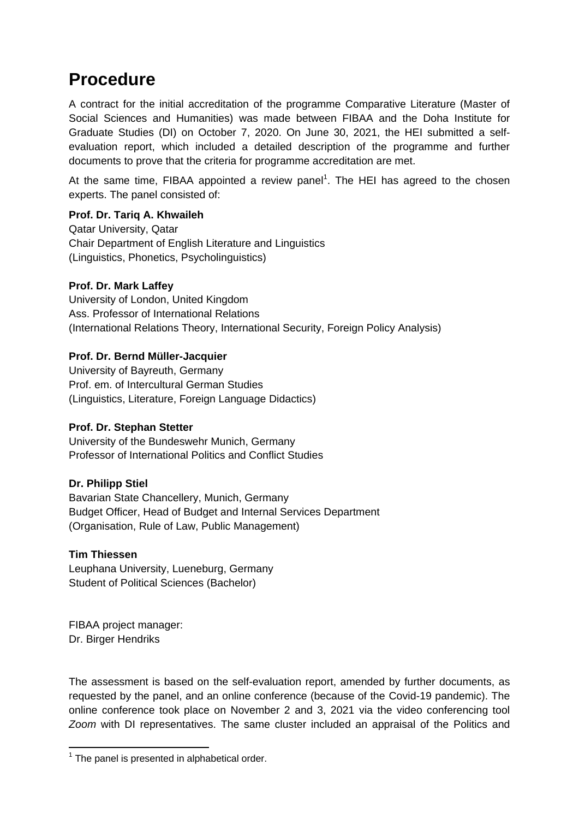## **Procedure**

A contract for the initial accreditation of the programme Comparative Literature (Master of Social Sciences and Humanities) was made between FIBAA and the Doha Institute for Graduate Studies (DI) on October 7, 2020. On June 30, 2021, the HEI submitted a selfevaluation report, which included a detailed description of the programme and further documents to prove that the criteria for programme accreditation are met.

At the same time, FIBAA appointed a review panel<sup>1</sup>. The HEI has agreed to the chosen experts. The panel consisted of:

#### **Prof. Dr. Tariq A. Khwaileh**

Qatar University, Qatar Chair Department of English Literature and Linguistics (Linguistics, Phonetics, Psycholinguistics)

#### **Prof. Dr. Mark Laffey**

University of London, United Kingdom Ass. Professor of International Relations (International Relations Theory, International Security, Foreign Policy Analysis)

#### **Prof. Dr. Bernd Müller-Jacquier**

University of Bayreuth, Germany Prof. em. of Intercultural German Studies (Linguistics, Literature, Foreign Language Didactics)

#### **Prof. Dr. Stephan Stetter**

University of the Bundeswehr Munich, Germany Professor of International Politics and Conflict Studies

#### **Dr. Philipp Stiel**

Bavarian State Chancellery, Munich, Germany Budget Officer, Head of Budget and Internal Services Department (Organisation, Rule of Law, Public Management)

#### **Tim Thiessen**

Leuphana University, Lueneburg, Germany Student of Political Sciences (Bachelor)

FIBAA project manager: Dr. Birger Hendriks

The assessment is based on the self-evaluation report, amended by further documents, as requested by the panel, and an online conference (because of the Covid-19 pandemic). The online conference took place on November 2 and 3, 2021 via the video conferencing tool *Zoom* with DI representatives. The same cluster included an appraisal of the Politics and

 1 The panel is presented in alphabetical order.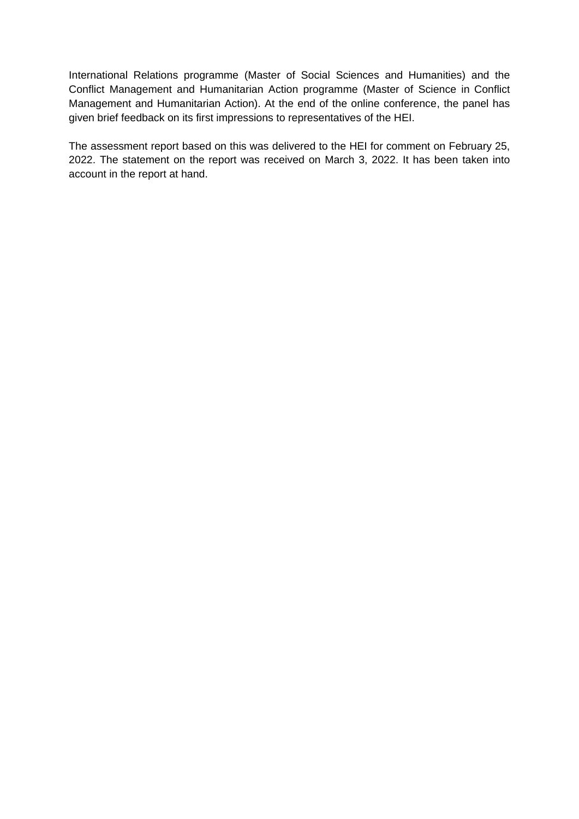International Relations programme (Master of Social Sciences and Humanities) and the Conflict Management and Humanitarian Action programme (Master of Science in Conflict Management and Humanitarian Action). At the end of the online conference, the panel has given brief feedback on its first impressions to representatives of the HEI.

The assessment report based on this was delivered to the HEI for comment on February 25, 2022. The statement on the report was received on March 3, 2022. It has been taken into account in the report at hand.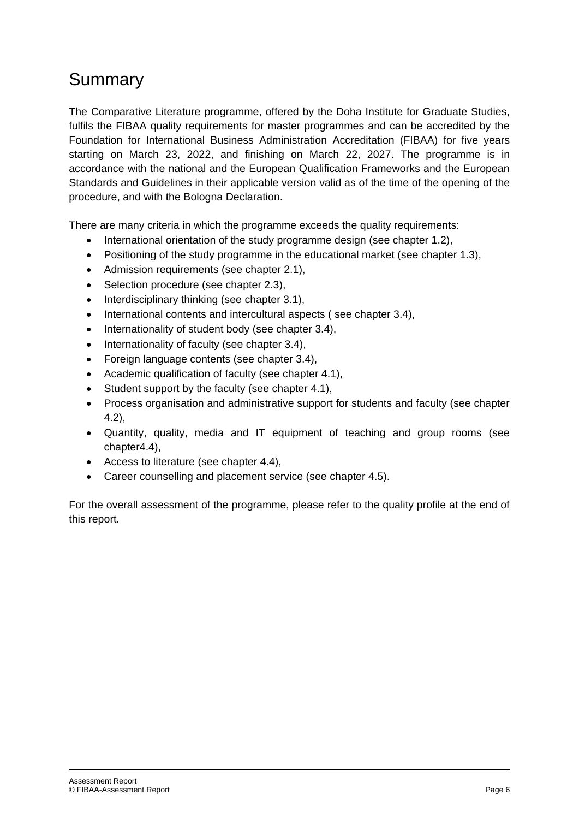# Summary

The Comparative Literature programme, offered by the Doha Institute for Graduate Studies, fulfils the FIBAA quality requirements for master programmes and can be accredited by the Foundation for International Business Administration Accreditation (FIBAA) for five years starting on March 23, 2022, and finishing on March 22, 2027. The programme is in accordance with the national and the European Qualification Frameworks and the European Standards and Guidelines in their applicable version valid as of the time of the opening of the procedure, and with the Bologna Declaration.

There are many criteria in which the programme exceeds the quality requirements:

- International orientation of the study programme design (see chapter 1.2),
- Positioning of the study programme in the educational market (see chapter 1.3),
- Admission requirements (see chapter 2.1),
- Selection procedure (see chapter 2.3),
- Interdisciplinary thinking (see chapter 3.1),
- International contents and intercultural aspects (see chapter 3.4),
- Internationality of student body (see chapter 3.4),
- Internationality of faculty (see chapter 3.4),
- Foreign language contents (see chapter 3.4),
- Academic qualification of faculty (see chapter 4.1),
- Student support by the faculty (see chapter 4.1),
- Process organisation and administrative support for students and faculty (see chapter 4.2),
- Quantity, quality, media and IT equipment of teaching and group rooms (see chapter4.4),
- Access to literature (see chapter 4.4),
- Career counselling and placement service (see chapter 4.5).

For the overall assessment of the programme, please refer to the quality profile at the end of this report.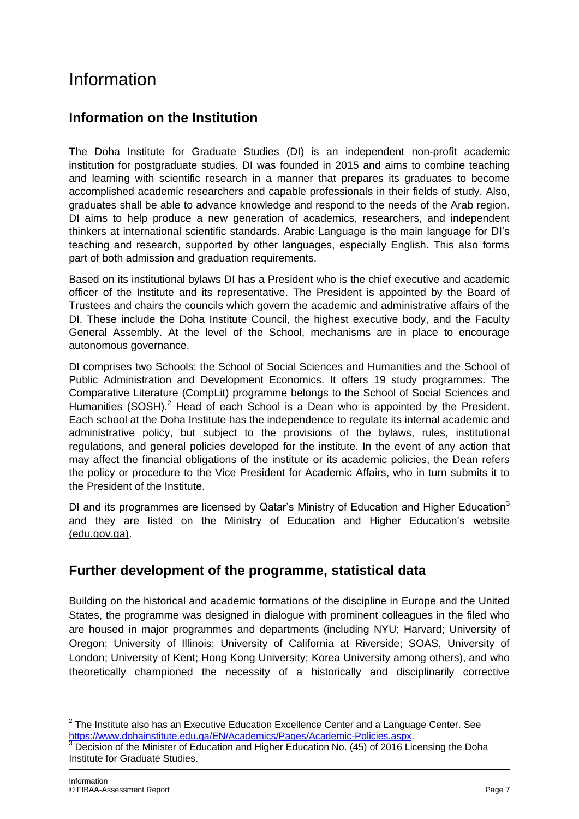# Information

## **Information on the Institution**

The Doha Institute for Graduate Studies (DI) is an independent non-profit academic institution for postgraduate studies. DI was founded in 2015 and aims to combine teaching and learning with scientific research in a manner that prepares its graduates to become accomplished academic researchers and capable professionals in their fields of study. Also, graduates shall be able to advance knowledge and respond to the needs of the Arab region. DI aims to help produce a new generation of academics, researchers, and independent thinkers at international scientific standards. Arabic Language is the main language for DI's teaching and research, supported by other languages, especially English. This also forms part of both admission and graduation requirements.

Based on its institutional bylaws DI has a President who is the chief executive and academic officer of the Institute and its representative. The President is appointed by the Board of Trustees and chairs the councils which govern the academic and administrative affairs of the DI. These include the Doha Institute Council, the highest executive body, and the Faculty General Assembly. At the level of the School, mechanisms are in place to encourage autonomous governance.

DI comprises two Schools: the School of Social Sciences and Humanities and the School of Public Administration and Development Economics. It offers 19 study programmes. The Comparative Literature (CompLit) programme belongs to the School of Social Sciences and Humanities (SOSH).<sup>2</sup> Head of each School is a Dean who is appointed by the President. Each school at the Doha Institute has the independence to regulate its internal academic and administrative policy, but subject to the provisions of the bylaws, rules, institutional regulations, and general policies developed for the institute. In the event of any action that may affect the financial obligations of the institute or its academic policies, the Dean refers the policy or procedure to the Vice President for Academic Affairs, who in turn submits it to the President of the Institute.

DI and its programmes are licensed by Qatar's Ministry of Education and Higher Education<sup>3</sup> and they are listed on the Ministry of Education and Higher Education's website [\(edu.gov.qa\).](https://www.edu.gov.qa/ar/Pages/higheredudefault.aspx?ItemID=134)

## **Further development of the programme, statistical data**

Building on the historical and academic formations of the discipline in Europe and the United States, the programme was designed in dialogue with prominent colleagues in the filed who are housed in major programmes and departments (including NYU; Harvard; University of Oregon; University of Illinois; University of California at Riverside; SOAS, University of London; University of Kent; Hong Kong University; Korea University among others), and who theoretically championed the necessity of a historically and disciplinarily corrective

 $\overline{\phantom{a}}$  $2$  The Institute also has an Executive Education Excellence Center and a Language Center. See [https://www.dohainstitute.edu.qa/EN/Academics/Pages/Academic-Policies.aspx.](https://www.dohainstitute.edu.qa/EN/Academics/Pages/Academic-Policies.aspx)

Decision of the Minister of Education and Higher Education No. (45) of 2016 Licensing the Doha Institute for Graduate Studies.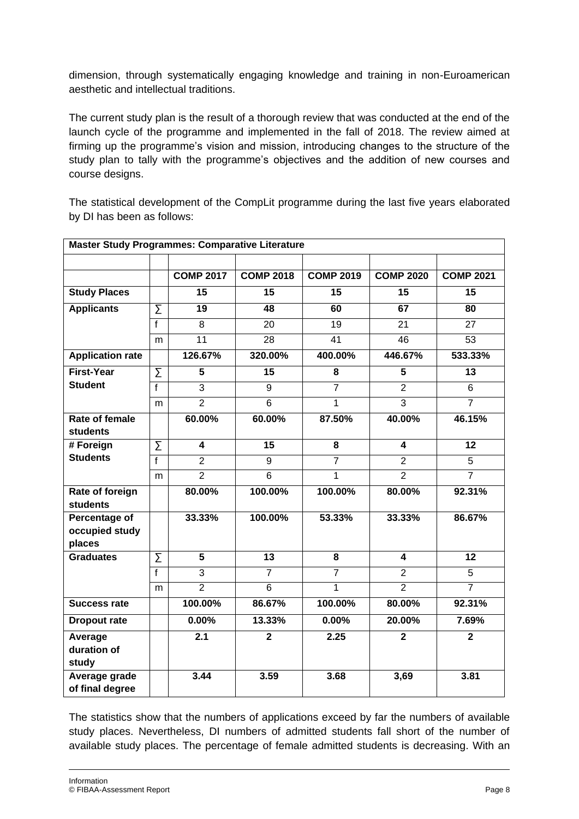dimension, through systematically engaging knowledge and training in non-Euroamerican aesthetic and intellectual traditions.

The current study plan is the result of a thorough review that was conducted at the end of the launch cycle of the programme and implemented in the fall of 2018. The review aimed at firming up the programme's vision and mission, introducing changes to the structure of the study plan to tally with the programme's objectives and the addition of new courses and course designs.

The statistical development of the CompLit programme during the last five years elaborated by DI has been as follows:

| <b>Master Study Programmes: Comparative Literature</b> |                     |                  |                  |                  |                  |                  |  |  |
|--------------------------------------------------------|---------------------|------------------|------------------|------------------|------------------|------------------|--|--|
|                                                        |                     |                  |                  |                  |                  |                  |  |  |
|                                                        |                     | <b>COMP 2017</b> | <b>COMP 2018</b> | <b>COMP 2019</b> | <b>COMP 2020</b> | <b>COMP 2021</b> |  |  |
| <b>Study Places</b>                                    |                     | 15               | 15               | 15               | 15               | 15               |  |  |
| <b>Applicants</b>                                      | Σ                   | 19               | 48               | 60               | 67               | 80               |  |  |
|                                                        | $\overline{f}$      | 8                | 20               | 19               | 21               | 27               |  |  |
|                                                        | m                   | $\overline{11}$  | $\overline{28}$  | 41               | 46               | $\overline{53}$  |  |  |
| <b>Application rate</b>                                |                     | 126.67%          | 320.00%          | 400.00%          | 446.67%          | 533.33%          |  |  |
| <b>First-Year</b>                                      | $\overline{\Sigma}$ | 5                | 15               | 8                | 5                | 13               |  |  |
| <b>Student</b>                                         | f                   | $\overline{3}$   | 9                | $\overline{7}$   | $\overline{2}$   | 6                |  |  |
|                                                        | m                   | $\overline{2}$   | $\overline{6}$   | 1                | $\overline{3}$   | $\overline{7}$   |  |  |
| Rate of female                                         |                     | 60.00%           | 60.00%           | 87.50%           | 40.00%           | 46.15%           |  |  |
| <b>students</b>                                        |                     |                  |                  |                  |                  |                  |  |  |
| # Foreign<br><b>Students</b>                           | Σ                   | 4                | 15               | 8                | 4                | 12               |  |  |
|                                                        | $\overline{f}$      | $\overline{2}$   | 9                | $\overline{7}$   | $\overline{2}$   | 5                |  |  |
|                                                        | m                   | $\overline{2}$   | $\overline{6}$   | $\overline{1}$   | $\overline{2}$   | $\overline{7}$   |  |  |
| Rate of foreign<br><b>students</b>                     |                     | 80.00%           | 100.00%          | 100.00%          | 80.00%           | 92.31%           |  |  |
| Percentage of<br>occupied study<br>places              |                     | 33.33%           | 100.00%          | 53.33%           | 33.33%           | 86.67%           |  |  |
| <b>Graduates</b>                                       | $\overline{\Sigma}$ | $\overline{5}$   | 13               | 8                | 4                | 12               |  |  |
|                                                        | $\overline{f}$      | $\overline{3}$   | $\overline{7}$   | $\overline{7}$   | $\overline{2}$   | $\overline{5}$   |  |  |
|                                                        | m                   | $\overline{2}$   | 6                | 1                | $\overline{2}$   | $\overline{7}$   |  |  |
| <b>Success rate</b>                                    |                     | 100.00%          | 86.67%           | 100.00%          | 80.00%           | 92.31%           |  |  |
| <b>Dropout rate</b>                                    |                     | $0.00\%$         | 13.33%           | 0.00%            | 20.00%           | 7.69%            |  |  |
| Average<br>duration of<br>study                        |                     | 2.1              | $\overline{2}$   | 2.25             | $\overline{2}$   | $\overline{2}$   |  |  |
| Average grade<br>of final degree                       |                     | 3.44             | 3.59             | 3.68             | 3,69             | 3.81             |  |  |

The statistics show that the numbers of applications exceed by far the numbers of available study places. Nevertheless, DI numbers of admitted students fall short of the number of available study places. The percentage of female admitted students is decreasing. With an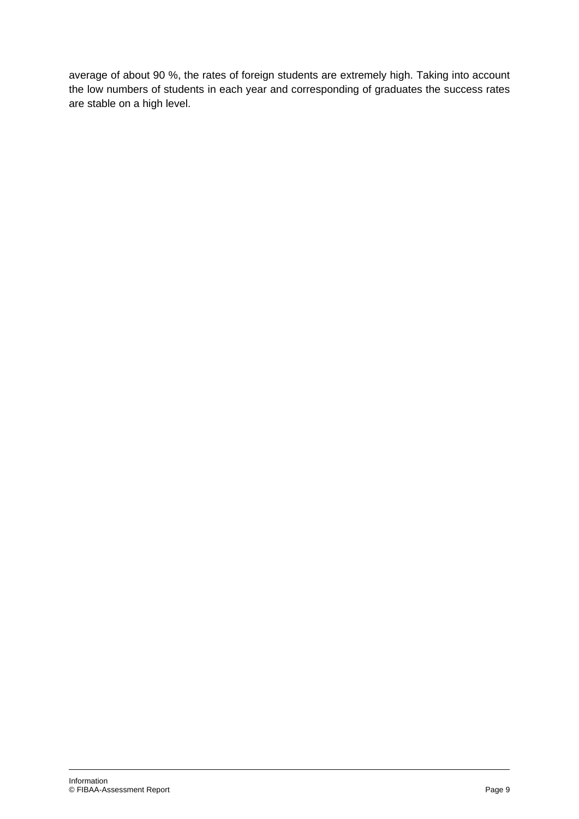average of about 90 %, the rates of foreign students are extremely high. Taking into account the low numbers of students in each year and corresponding of graduates the success rates are stable on a high level.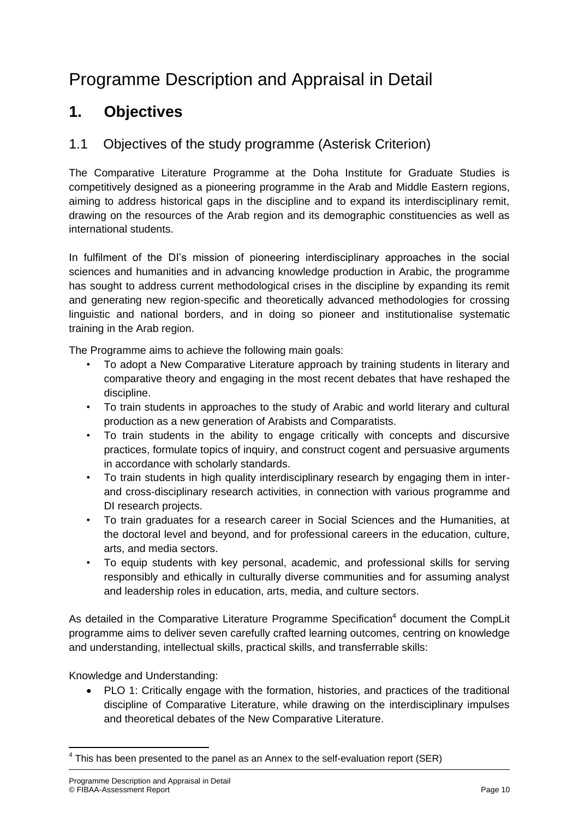# Programme Description and Appraisal in Detail

## **1. Objectives**

## 1.1 Objectives of the study programme (Asterisk Criterion)

The Comparative Literature Programme at the Doha Institute for Graduate Studies is competitively designed as a pioneering programme in the Arab and Middle Eastern regions, aiming to address historical gaps in the discipline and to expand its interdisciplinary remit, drawing on the resources of the Arab region and its demographic constituencies as well as international students.

In fulfilment of the DI's mission of pioneering interdisciplinary approaches in the social sciences and humanities and in advancing knowledge production in Arabic, the programme has sought to address current methodological crises in the discipline by expanding its remit and generating new region-specific and theoretically advanced methodologies for crossing linguistic and national borders, and in doing so pioneer and institutionalise systematic training in the Arab region.

The Programme aims to achieve the following main goals:

- To adopt a New Comparative Literature approach by training students in literary and comparative theory and engaging in the most recent debates that have reshaped the discipline.
- To train students in approaches to the study of Arabic and world literary and cultural production as a new generation of Arabists and Comparatists.
- To train students in the ability to engage critically with concepts and discursive practices, formulate topics of inquiry, and construct cogent and persuasive arguments in accordance with scholarly standards.
- To train students in high quality interdisciplinary research by engaging them in interand cross-disciplinary research activities, in connection with various programme and DI research projects.
- To train graduates for a research career in Social Sciences and the Humanities, at the doctoral level and beyond, and for professional careers in the education, culture, arts, and media sectors.
- To equip students with key personal, academic, and professional skills for serving responsibly and ethically in culturally diverse communities and for assuming analyst and leadership roles in education, arts, media, and culture sectors.

As detailed in the Comparative Literature Programme Specification<sup>4</sup> document the CompLit programme aims to deliver seven carefully crafted learning outcomes, centring on knowledge and understanding, intellectual skills, practical skills, and transferrable skills:

Knowledge and Understanding:

 PLO 1: Critically engage with the formation, histories, and practices of the traditional discipline of Comparative Literature, while drawing on the interdisciplinary impulses and theoretical debates of the New Comparative Literature.

**.** 

 $<sup>4</sup>$  This has been presented to the panel as an Annex to the self-evaluation report (SER)</sup>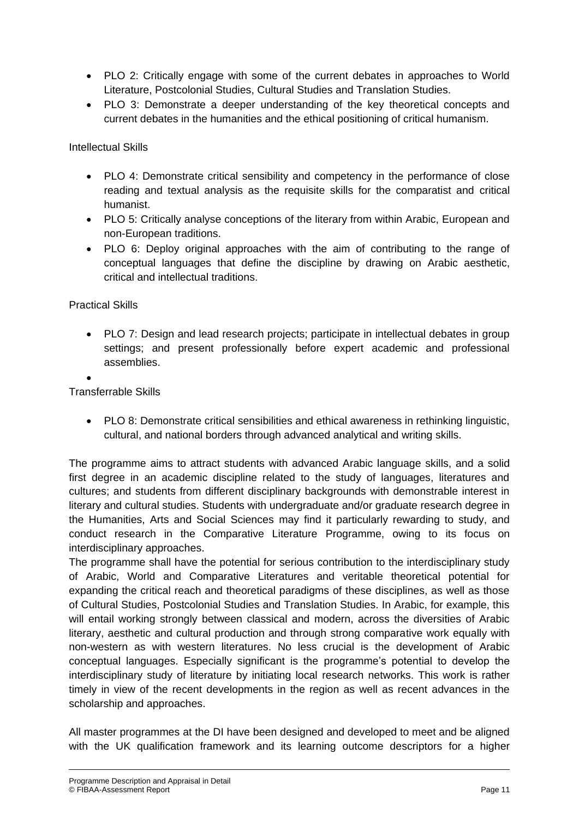- PLO 2: Critically engage with some of the current debates in approaches to World Literature, Postcolonial Studies, Cultural Studies and Translation Studies.
- PLO 3: Demonstrate a deeper understanding of the key theoretical concepts and current debates in the humanities and the ethical positioning of critical humanism.

Intellectual Skills

- PLO 4: Demonstrate critical sensibility and competency in the performance of close reading and textual analysis as the requisite skills for the comparatist and critical humanist.
- PLO 5: Critically analyse conceptions of the literary from within Arabic, European and non-European traditions.
- PLO 6: Deploy original approaches with the aim of contributing to the range of conceptual languages that define the discipline by drawing on Arabic aesthetic, critical and intellectual traditions.

Practical Skills

• PLO 7: Design and lead research projects; participate in intellectual debates in group settings; and present professionally before expert academic and professional assemblies.

 $\bullet$ 

Transferrable Skills

 PLO 8: Demonstrate critical sensibilities and ethical awareness in rethinking linguistic, cultural, and national borders through advanced analytical and writing skills.

The programme aims to attract students with advanced Arabic language skills, and a solid first degree in an academic discipline related to the study of languages, literatures and cultures; and students from different disciplinary backgrounds with demonstrable interest in literary and cultural studies. Students with undergraduate and/or graduate research degree in the Humanities, Arts and Social Sciences may find it particularly rewarding to study, and conduct research in the Comparative Literature Programme, owing to its focus on interdisciplinary approaches.

The programme shall have the potential for serious contribution to the interdisciplinary study of Arabic, World and Comparative Literatures and veritable theoretical potential for expanding the critical reach and theoretical paradigms of these disciplines, as well as those of Cultural Studies, Postcolonial Studies and Translation Studies. In Arabic, for example, this will entail working strongly between classical and modern, across the diversities of Arabic literary, aesthetic and cultural production and through strong comparative work equally with non-western as with western literatures. No less crucial is the development of Arabic conceptual languages. Especially significant is the programme's potential to develop the interdisciplinary study of literature by initiating local research networks. This work is rather timely in view of the recent developments in the region as well as recent advances in the scholarship and approaches.

All master programmes at the DI have been designed and developed to meet and be aligned with the UK qualification framework and its learning outcome descriptors for a higher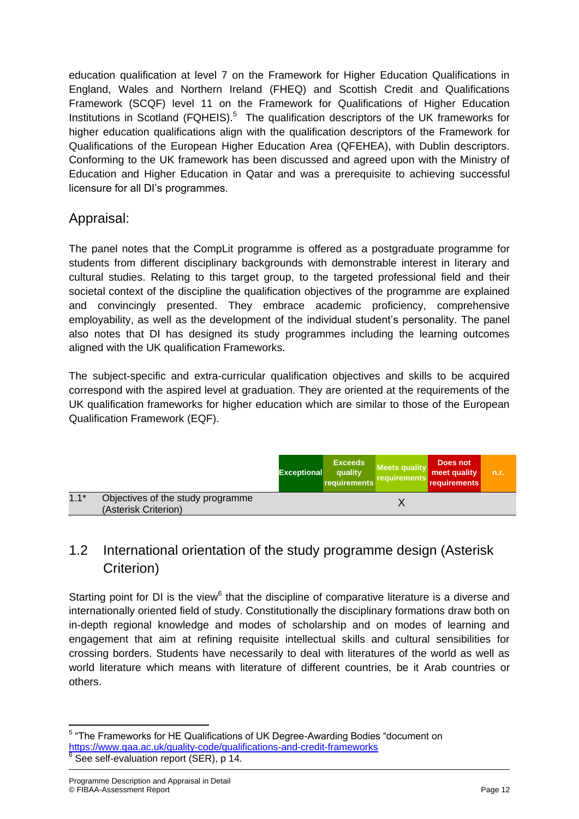education qualification at level 7 on the Framework for Higher Education Qualifications in England, Wales and Northern Ireland (FHEQ) and Scottish Credit and Qualifications Framework (SCQF) level 11 on the Framework for Qualifications of Higher Education Institutions in Scotland (FQHEIS).<sup>5</sup> The qualification descriptors of the UK frameworks for higher education qualifications align with the qualification descriptors of the Framework for Qualifications of the European Higher Education Area (QFEHEA), with Dublin descriptors. Conforming to the UK framework has been discussed and agreed upon with the Ministry of Education and Higher Education in Qatar and was a prerequisite to achieving successful licensure for all DI's programmes.

## Appraisal:

The panel notes that the CompLit programme is offered as a postgraduate programme for students from different disciplinary backgrounds with demonstrable interest in literary and cultural studies. Relating to this target group, to the targeted professional field and their societal context of the discipline the qualification objectives of the programme are explained and convincingly presented. They embrace academic proficiency, comprehensive employability, as well as the development of the individual student's personality. The panel also notes that DI has designed its study programmes including the learning outcomes aligned with the UK qualification Frameworks.

The subject-specific and extra-curricular qualification objectives and skills to be acquired correspond with the aspired level at graduation. They are oriented at the requirements of the UK qualification frameworks for higher education which are similar to those of the European Qualification Framework (EQF).

|        |                                                           | <b>Exceptional</b> | <b>Exceeds</b><br>quality<br>requirements | <b>Meets quality</b><br>requirements | Does not<br>meet quality<br>requirements | n.r. |
|--------|-----------------------------------------------------------|--------------------|-------------------------------------------|--------------------------------------|------------------------------------------|------|
| $1.1*$ | Objectives of the study programme<br>(Asterisk Criterion) |                    |                                           |                                      |                                          |      |

## 1.2 International orientation of the study programme design (Asterisk Criterion)

Starting point for DI is the view<sup>6</sup> that the discipline of comparative literature is a diverse and internationally oriented field of study. Constitutionally the disciplinary formations draw both on in-depth regional knowledge and modes of scholarship and on modes of learning and engagement that aim at refining requisite intellectual skills and cultural sensibilities for crossing borders. Students have necessarily to deal with literatures of the world as well as world literature which means with literature of different countries, be it Arab countries or others.

 5 "The Frameworks for HE Qualifications of UK Degree-Awarding Bodies "document on <https://www.qaa.ac.uk/quality-code/qualifications-and-credit-frameworks>  $6$  See self-evaluation report (SER), p 14.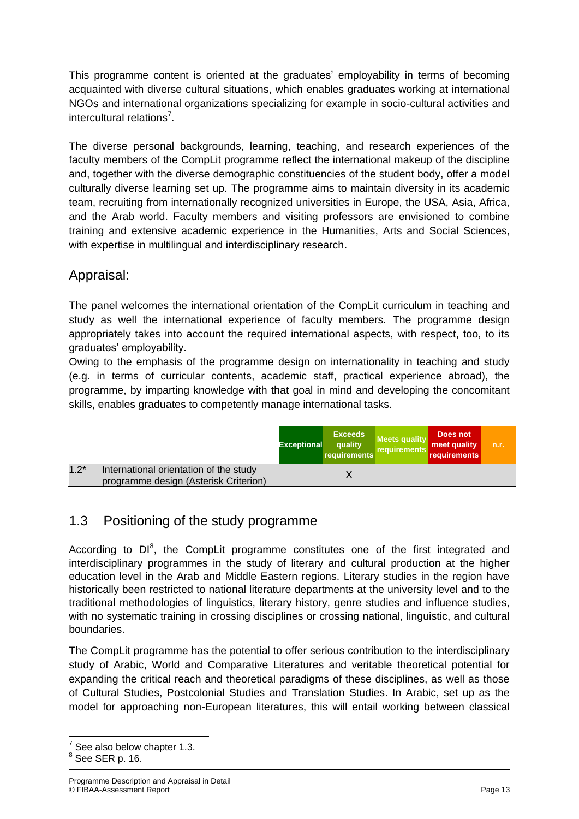This programme content is oriented at the graduates' employability in terms of becoming acquainted with diverse cultural situations, which enables graduates working at international NGOs and international organizations specializing for example in socio-cultural activities and intercultural relations<sup>7</sup>.

The diverse personal backgrounds, learning, teaching, and research experiences of the faculty members of the CompLit programme reflect the international makeup of the discipline and, together with the diverse demographic constituencies of the student body, offer a model culturally diverse learning set up. The programme aims to maintain diversity in its academic team, recruiting from internationally recognized universities in Europe, the USA, Asia, Africa, and the Arab world. Faculty members and visiting professors are envisioned to combine training and extensive academic experience in the Humanities, Arts and Social Sciences, with expertise in multilingual and interdisciplinary research.

## Appraisal:

The panel welcomes the international orientation of the CompLit curriculum in teaching and study as well the international experience of faculty members. The programme design appropriately takes into account the required international aspects, with respect, too, to its graduates' employability.

Owing to the emphasis of the programme design on internationality in teaching and study (e.g. in terms of curricular contents, academic staff, practical experience abroad), the programme, by imparting knowledge with that goal in mind and developing the concomitant skills, enables graduates to competently manage international tasks.

|        |                                                                                 | <b>Exceptional</b> | <b>Exceeds</b><br>quality<br>requirements | <b>Meets quality</b><br>requirements | Does not<br>meet quality<br>requirements | n.r. |
|--------|---------------------------------------------------------------------------------|--------------------|-------------------------------------------|--------------------------------------|------------------------------------------|------|
| $1.2*$ | International orientation of the study<br>programme design (Asterisk Criterion) |                    |                                           |                                      |                                          |      |

## 1.3 Positioning of the study programme

According to  $DI^8$ , the CompLit programme constitutes one of the first integrated and interdisciplinary programmes in the study of literary and cultural production at the higher education level in the Arab and Middle Eastern regions. Literary studies in the region have historically been restricted to national literature departments at the university level and to the traditional methodologies of linguistics, literary history, genre studies and influence studies, with no systematic training in crossing disciplines or crossing national, linguistic, and cultural boundaries.

The CompLit programme has the potential to offer serious contribution to the interdisciplinary study of Arabic, World and Comparative Literatures and veritable theoretical potential for expanding the critical reach and theoretical paradigms of these disciplines, as well as those of Cultural Studies, Postcolonial Studies and Translation Studies. In Arabic, set up as the model for approaching non-European literatures, this will entail working between classical

**<sup>.</sup>**  $7$  See also below chapter 1.3.

 $8$  See SER p. 16.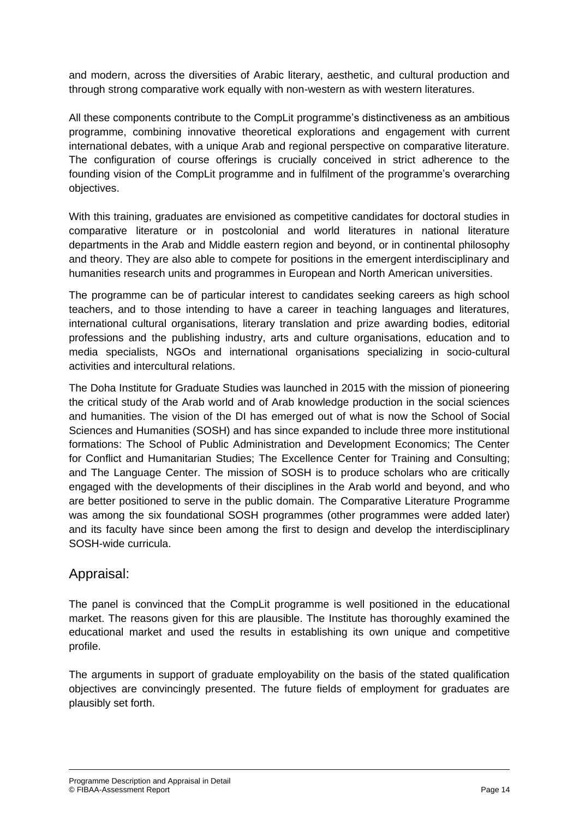and modern, across the diversities of Arabic literary, aesthetic, and cultural production and through strong comparative work equally with non-western as with western literatures.

All these components contribute to the CompLit programme's distinctiveness as an ambitious programme, combining innovative theoretical explorations and engagement with current international debates, with a unique Arab and regional perspective on comparative literature. The configuration of course offerings is crucially conceived in strict adherence to the founding vision of the CompLit programme and in fulfilment of the programme's overarching objectives.

With this training, graduates are envisioned as competitive candidates for doctoral studies in comparative literature or in postcolonial and world literatures in national literature departments in the Arab and Middle eastern region and beyond, or in continental philosophy and theory. They are also able to compete for positions in the emergent interdisciplinary and humanities research units and programmes in European and North American universities.

The programme can be of particular interest to candidates seeking careers as high school teachers, and to those intending to have a career in teaching languages and literatures, international cultural organisations, literary translation and prize awarding bodies, editorial professions and the publishing industry, arts and culture organisations, education and to media specialists, NGOs and international organisations specializing in socio-cultural activities and intercultural relations.

The Doha Institute for Graduate Studies was launched in 2015 with the mission of pioneering the critical study of the Arab world and of Arab knowledge production in the social sciences and humanities. The vision of the DI has emerged out of what is now the School of Social Sciences and Humanities (SOSH) and has since expanded to include three more institutional formations: The School of Public Administration and Development Economics; The Center for Conflict and Humanitarian Studies; The Excellence Center for Training and Consulting; and The Language Center. The mission of SOSH is to produce scholars who are critically engaged with the developments of their disciplines in the Arab world and beyond, and who are better positioned to serve in the public domain. The Comparative Literature Programme was among the six foundational SOSH programmes (other programmes were added later) and its faculty have since been among the first to design and develop the interdisciplinary SOSH-wide curricula.

### Appraisal:

The panel is convinced that the CompLit programme is well positioned in the educational market. The reasons given for this are plausible. The Institute has thoroughly examined the educational market and used the results in establishing its own unique and competitive profile.

The arguments in support of graduate employability on the basis of the stated qualification objectives are convincingly presented. The future fields of employment for graduates are plausibly set forth.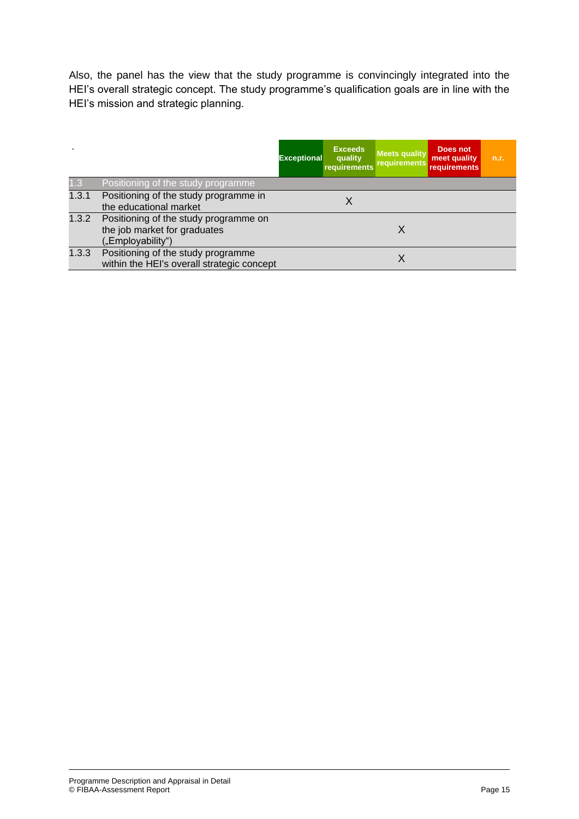Also, the panel has the view that the study programme is convincingly integrated into the HEI's overall strategic concept. The study programme's qualification goals are in line with the HEI's mission and strategic planning.

|       |                                                                                            | <b>Exceptional</b> | <b>Exceeds</b><br>quality<br>requirements | <b>Meets quality</b><br><b>requirements</b> | Does not<br>meet quality<br>requirements | n.r. |
|-------|--------------------------------------------------------------------------------------------|--------------------|-------------------------------------------|---------------------------------------------|------------------------------------------|------|
| 1.3   | Positioning of the study programme                                                         |                    |                                           |                                             |                                          |      |
| 1.3.1 | Positioning of the study programme in<br>the educational market                            |                    |                                           |                                             |                                          |      |
| 1.3.2 | Positioning of the study programme on<br>the job market for graduates<br>("Employability") |                    |                                           | X                                           |                                          |      |
| 1.3.3 | Positioning of the study programme<br>within the HEI's overall strategic concept           |                    |                                           | X                                           |                                          |      |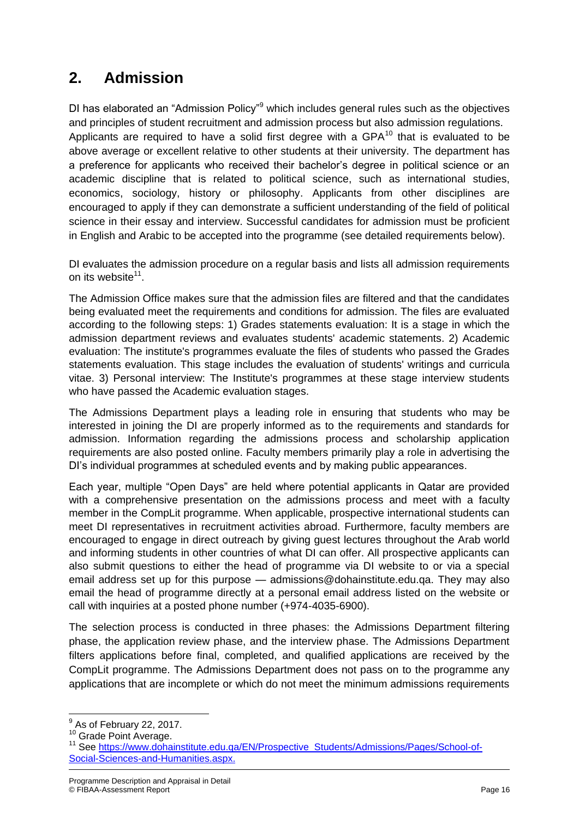## **2. Admission**

DI has elaborated an "Admission Policy"<sup>9</sup> which includes general rules such as the objectives and principles of student recruitment and admission process but also admission regulations. Applicants are required to have a solid first degree with a  $GPA^{10}$  that is evaluated to be above average or excellent relative to other students at their university. The department has a preference for applicants who received their bachelor's degree in political science or an academic discipline that is related to political science, such as international studies, economics, sociology, history or philosophy. Applicants from other disciplines are encouraged to apply if they can demonstrate a sufficient understanding of the field of political science in their essay and interview. Successful candidates for admission must be proficient in English and Arabic to be accepted into the programme (see detailed requirements below).

DI evaluates the admission procedure on a regular basis and lists all admission requirements on its website<sup>11</sup>.

The Admission Office makes sure that the admission files are filtered and that the candidates being evaluated meet the requirements and conditions for admission. The files are evaluated according to the following steps: 1) Grades statements evaluation: It is a stage in which the admission department reviews and evaluates students' academic statements. 2) Academic evaluation: The institute's programmes evaluate the files of students who passed the Grades statements evaluation. This stage includes the evaluation of students' writings and curricula vitae. 3) Personal interview: The Institute's programmes at these stage interview students who have passed the Academic evaluation stages.

The Admissions Department plays a leading role in ensuring that students who may be interested in joining the DI are properly informed as to the requirements and standards for admission. Information regarding the admissions process and scholarship application requirements are also posted online. Faculty members primarily play a role in advertising the DI's individual programmes at scheduled events and by making public appearances.

Each year, multiple "Open Days" are held where potential applicants in Qatar are provided with a comprehensive presentation on the admissions process and meet with a faculty member in the CompLit programme. When applicable, prospective international students can meet DI representatives in recruitment activities abroad. Furthermore, faculty members are encouraged to engage in direct outreach by giving guest lectures throughout the Arab world and informing students in other countries of what DI can offer. All prospective applicants can also submit questions to either the head of programme via DI website to or via a special email address set up for this purpose — admissions@dohainstitute.edu.qa. They may also email the head of programme directly at a personal email address listed on the website or call with inquiries at a posted phone number (+974-4035-6900).

The selection process is conducted in three phases: the Admissions Department filtering phase, the application review phase, and the interview phase. The Admissions Department filters applications before final, completed, and qualified applications are received by the CompLit programme. The Admissions Department does not pass on to the programme any applications that are incomplete or which do not meet the minimum admissions requirements

 $\overline{\phantom{a}}$ 

 $<sup>9</sup>$  As of February 22, 2017.</sup>

<sup>&</sup>lt;sup>10</sup> Grade Point Average.

<sup>11</sup> See [https://www.dohainstitute.edu.qa/EN/Prospective\\_Students/Admissions/Pages/School-of-](https://www.dohainstitute.edu.qa/EN/Prospective_Students/Admissions/Pages/School-of-Social-Sciences-and-Humanities.aspx)[Social-Sciences-and-Humanities.aspx.](https://www.dohainstitute.edu.qa/EN/Prospective_Students/Admissions/Pages/School-of-Social-Sciences-and-Humanities.aspx)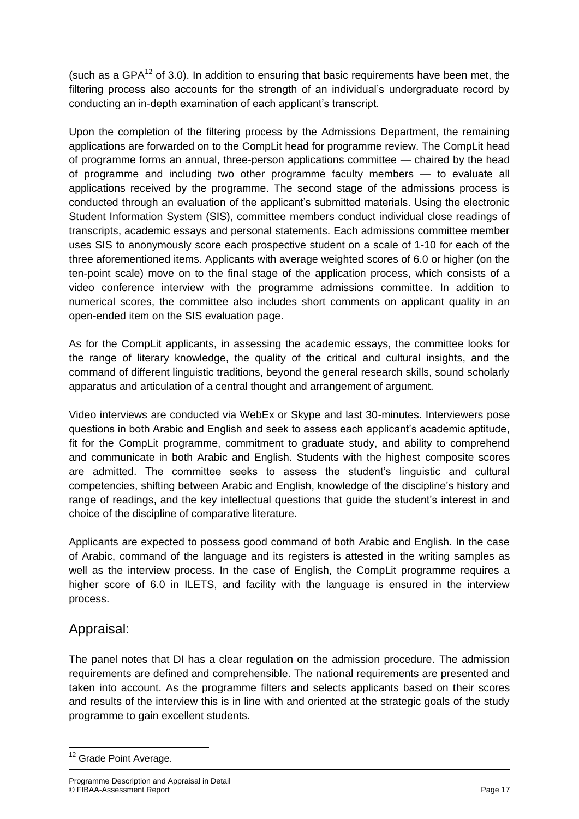(such as a GPA $<sup>12</sup>$  of 3.0). In addition to ensuring that basic requirements have been met, the</sup> filtering process also accounts for the strength of an individual's undergraduate record by conducting an in-depth examination of each applicant's transcript.

Upon the completion of the filtering process by the Admissions Department, the remaining applications are forwarded on to the CompLit head for programme review. The CompLit head of programme forms an annual, three-person applications committee — chaired by the head of programme and including two other programme faculty members — to evaluate all applications received by the programme. The second stage of the admissions process is conducted through an evaluation of the applicant's submitted materials. Using the electronic Student Information System (SIS), committee members conduct individual close readings of transcripts, academic essays and personal statements. Each admissions committee member uses SIS to anonymously score each prospective student on a scale of 1-10 for each of the three aforementioned items. Applicants with average weighted scores of 6.0 or higher (on the ten-point scale) move on to the final stage of the application process, which consists of a video conference interview with the programme admissions committee. In addition to numerical scores, the committee also includes short comments on applicant quality in an open-ended item on the SIS evaluation page.

As for the CompLit applicants, in assessing the academic essays, the committee looks for the range of literary knowledge, the quality of the critical and cultural insights, and the command of different linguistic traditions, beyond the general research skills, sound scholarly apparatus and articulation of a central thought and arrangement of argument.

Video interviews are conducted via WebEx or Skype and last 30-minutes. Interviewers pose questions in both Arabic and English and seek to assess each applicant's academic aptitude, fit for the CompLit programme, commitment to graduate study, and ability to comprehend and communicate in both Arabic and English. Students with the highest composite scores are admitted. The committee seeks to assess the student's linguistic and cultural competencies, shifting between Arabic and English, knowledge of the discipline's history and range of readings, and the key intellectual questions that guide the student's interest in and choice of the discipline of comparative literature.

Applicants are expected to possess good command of both Arabic and English. In the case of Arabic, command of the language and its registers is attested in the writing samples as well as the interview process. In the case of English, the CompLit programme requires a higher score of 6.0 in ILETS, and facility with the language is ensured in the interview process.

## Appraisal:

The panel notes that DI has a clear regulation on the admission procedure. The admission requirements are defined and comprehensible. The national requirements are presented and taken into account. As the programme filters and selects applicants based on their scores and results of the interview this is in line with and oriented at the strategic goals of the study programme to gain excellent students.

**<sup>.</sup>** <sup>12</sup> Grade Point Average.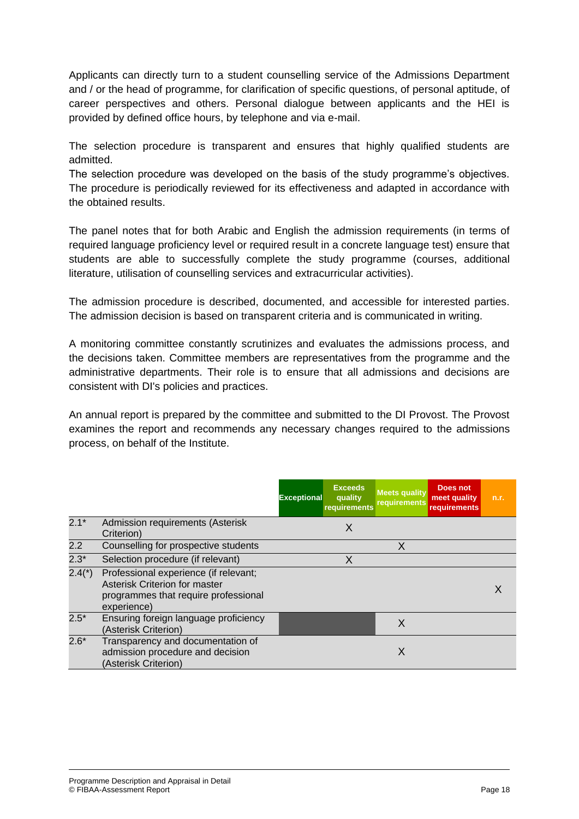Applicants can directly turn to a student counselling service of the Admissions Department and / or the head of programme, for clarification of specific questions, of personal aptitude, of career perspectives and others. Personal dialogue between applicants and the HEI is provided by defined office hours, by telephone and via e-mail.

The selection procedure is transparent and ensures that highly qualified students are admitted.

The selection procedure was developed on the basis of the study programme's objectives. The procedure is periodically reviewed for its effectiveness and adapted in accordance with the obtained results.

The panel notes that for both Arabic and English the admission requirements (in terms of required language proficiency level or required result in a concrete language test) ensure that students are able to successfully complete the study programme (courses, additional literature, utilisation of counselling services and extracurricular activities).

The admission procedure is described, documented, and accessible for interested parties. The admission decision is based on transparent criteria and is communicated in writing.

A monitoring committee constantly scrutinizes and evaluates the admissions process, and the decisions taken. Committee members are representatives from the programme and the administrative departments. Their role is to ensure that all admissions and decisions are consistent with DI's policies and practices.

An annual report is prepared by the committee and submitted to the DI Provost. The Provost examines the report and recommends any necessary changes required to the admissions process, on behalf of the Institute.

|          |                                                                                                                               | <b>Exceeds</b><br><b>Exceptional</b><br>quality<br>requirements | <b>Meets quality</b><br><b>requirements</b> | Does not<br>meet quality<br><b>requirements</b> | n.r. |
|----------|-------------------------------------------------------------------------------------------------------------------------------|-----------------------------------------------------------------|---------------------------------------------|-------------------------------------------------|------|
| $2.1*$   | Admission requirements (Asterisk<br>Criterion)                                                                                | X                                                               |                                             |                                                 |      |
| 2.2      | Counselling for prospective students                                                                                          |                                                                 | X                                           |                                                 |      |
| $2.3*$   | Selection procedure (if relevant)                                                                                             | X                                                               |                                             |                                                 |      |
| $2.4(*)$ | Professional experience (if relevant;<br>Asterisk Criterion for master<br>programmes that require professional<br>experience) |                                                                 |                                             |                                                 |      |
| $2.5*$   | Ensuring foreign language proficiency<br>(Asterisk Criterion)                                                                 |                                                                 | X                                           |                                                 |      |
| $2.6*$   | Transparency and documentation of<br>admission procedure and decision<br>(Asterisk Criterion)                                 |                                                                 | X                                           |                                                 |      |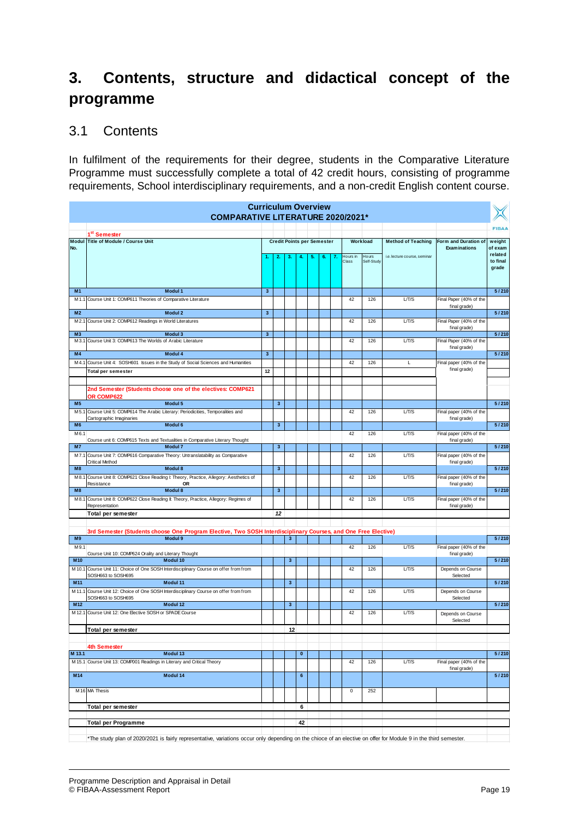## **3. Contents, structure and didactical concept of the programme**

## 3.1 Contents

In fulfilment of the requirements for their degree, students in the Comparative Literature Programme must successfully complete a total of 42 credit hours, consisting of programme requirements, School interdisciplinary requirements, and a non-credit English content course.

| <b>Curriculum Overview</b><br><b>COMPARATIVE LITERATURE 2020/2021*</b> |                                                                                                                |                                                                            |              |              |           |    |    |    |                   |                      |                              |                                         |                     |
|------------------------------------------------------------------------|----------------------------------------------------------------------------------------------------------------|----------------------------------------------------------------------------|--------------|--------------|-----------|----|----|----|-------------------|----------------------|------------------------------|-----------------------------------------|---------------------|
| 1 <sup>st</sup> Semester                                               |                                                                                                                |                                                                            |              |              |           |    |    |    |                   |                      |                              |                                         | <b>FIBAA</b>        |
| Modul Title of Module / Course Unit                                    |                                                                                                                | <b>Credit Points per Semester</b><br>Workload<br><b>Method of Teaching</b> |              |              |           |    |    |    |                   | Form and Duration of | weight                       |                                         |                     |
| No.                                                                    |                                                                                                                |                                                                            |              |              |           |    |    |    |                   |                      |                              | <b>Examinations</b>                     | of exam             |
|                                                                        |                                                                                                                |                                                                            | 2.           | З.           |           | 5. | 6. | 7. | Hours in<br>Class | Hours<br>Self-Study  | i.e. lecture course, seminar |                                         | related<br>to final |
|                                                                        |                                                                                                                |                                                                            |              |              |           |    |    |    |                   |                      |                              |                                         | grade               |
|                                                                        |                                                                                                                |                                                                            |              |              |           |    |    |    |                   |                      |                              |                                         |                     |
|                                                                        |                                                                                                                |                                                                            |              |              |           |    |    |    |                   |                      |                              |                                         |                     |
| M <sub>1</sub>                                                         | Modul 1                                                                                                        | $\overline{\mathbf{3}}$                                                    |              |              |           |    |    |    |                   |                      |                              |                                         | 5/210               |
|                                                                        | M 1.1 Course Unit 1: COMP611 Theories of Comparative Literature                                                |                                                                            |              |              |           |    |    |    | 42                | 126                  | LT/S                         | Final Paper (40% of the<br>final grade) |                     |
| M <sub>2</sub>                                                         | Modul 2                                                                                                        | 3                                                                          |              |              |           |    |    |    |                   |                      |                              |                                         | 5/210               |
| M2.1                                                                   | Course Unit 2: COMP612 Readings in World Literatures                                                           |                                                                            |              |              |           |    |    |    | 42                | 126                  | L/T/S                        | Final Paper (40% of the                 |                     |
| M <sub>3</sub>                                                         | Modul 3                                                                                                        | $\mathbf{3}$                                                               |              |              |           |    |    |    |                   |                      |                              | final grade)                            | 5/210               |
| M3.1                                                                   | Course Unit 3: COMP613 The Worlds of Arabic Literature                                                         |                                                                            |              |              |           |    |    |    | 42                | 126                  | L/T/S                        | Final Paper (40% of the                 |                     |
|                                                                        |                                                                                                                |                                                                            |              |              |           |    |    |    |                   |                      |                              | final grade)                            |                     |
| M <sub>4</sub>                                                         | Modul 4                                                                                                        | $\overline{\mathbf{3}}$                                                    |              |              |           |    |    |    |                   |                      |                              |                                         | 5/210               |
| M4.1                                                                   | Course Unit 4: SOSH601 Issues in the Study of Social Sciences and Humanities<br><b>Total per semester</b>      | 12                                                                         |              |              |           |    |    |    | 42                | 126                  | Г                            | Final paper (40% of the<br>final grade) |                     |
|                                                                        |                                                                                                                |                                                                            |              |              |           |    |    |    |                   |                      |                              |                                         |                     |
|                                                                        | 2nd Semester (Students choose one of the electives: COMP621                                                    |                                                                            |              |              |           |    |    |    |                   |                      |                              |                                         |                     |
|                                                                        | OR COMP622                                                                                                     |                                                                            |              |              |           |    |    |    |                   |                      |                              |                                         |                     |
| M <sub>5</sub>                                                         | Modul 5                                                                                                        |                                                                            | $\mathbf{3}$ |              |           |    |    |    |                   |                      |                              |                                         | 5/210               |
| M 5.1                                                                  | Course Unit 5: COMP614 The Arabic Literary: Periodicities, Temporalities and                                   |                                                                            |              |              |           |    |    |    | 42                | 126                  | LT/S                         | Final paper (40% of the                 |                     |
| M <sub>6</sub>                                                         | Cartographic Imaginaries<br>Modul <sub>6</sub>                                                                 |                                                                            | $\mathbf{3}$ |              |           |    |    |    |                   |                      |                              | final grade)                            | 5/210               |
| M6.1                                                                   |                                                                                                                |                                                                            |              |              |           |    |    |    | 42                | 126                  | LT/S                         | Final paper (40% of the                 |                     |
|                                                                        | Course unit 6: COMP615 Texts and Textualities in Comparative Literary Thought                                  |                                                                            |              |              |           |    |    |    |                   |                      |                              | final grade)                            |                     |
| M7                                                                     | <b>Modul 7</b>                                                                                                 |                                                                            | $\mathbf{3}$ |              |           |    |    |    |                   |                      |                              |                                         | 5/210               |
|                                                                        | M7.1 Course Unit 7: COMP616 Comparative Theory: Untranslatability as Comparative<br><b>Critical Method</b>     |                                                                            |              |              |           |    |    |    | 42                | 126                  | LT/S                         | Final paper (40% of the<br>final grade) |                     |
| M8                                                                     | Modul 8                                                                                                        |                                                                            | $\mathbf{3}$ |              |           |    |    |    |                   |                      |                              |                                         | 5/210               |
| M 8.1                                                                  | Course Unit 8: COMP621 Close Reading I: Theory, Practice, Allegory: Aesthetics of                              |                                                                            |              |              |           |    |    |    | 42                | 126                  | L/T/S                        | Final paper (40% of the                 |                     |
|                                                                        | Resistance<br>OR                                                                                               |                                                                            |              |              |           |    |    |    |                   |                      |                              | final grade)                            |                     |
| M8<br>M8.1                                                             | Modul 8<br>Course Unit 8: COMP622 Close Reading II: Theory, Practice, Allegory: Regimes of                     |                                                                            | $\mathbf{3}$ |              |           |    |    |    | 42                | 126                  | L/T/S                        | Final paper (40% of the                 | 5/210               |
|                                                                        | Representation                                                                                                 |                                                                            |              |              |           |    |    |    |                   |                      |                              | final grade)                            |                     |
|                                                                        | Total per semester                                                                                             |                                                                            | 12           |              |           |    |    |    |                   |                      |                              |                                         |                     |
|                                                                        |                                                                                                                |                                                                            |              |              |           |    |    |    |                   |                      |                              |                                         |                     |
|                                                                        | 3rd Semester (Students choose One Program Elective, Two SOSH Interdisciplinary Courses, and One Free Elective) |                                                                            |              |              |           |    |    |    |                   |                      |                              |                                         |                     |
| M9                                                                     | Modul 9                                                                                                        |                                                                            |              | 3            |           |    |    |    |                   |                      |                              |                                         | 5/210               |
| M9.1                                                                   | Course Unit 10: COMP624 Orality and Literary Thought                                                           |                                                                            |              |              |           |    |    |    | 42                | 126                  | L/T/S                        | Final paper (40% of the<br>final grade) |                     |
| M10                                                                    | Modul 10                                                                                                       |                                                                            |              | $\mathbf{3}$ |           |    |    |    |                   |                      |                              |                                         | 5/210               |
| M10.1                                                                  | Course Unit 11: Choice of One SOSH Interdisciplinary Course on offer from from                                 |                                                                            |              |              |           |    |    |    | 42                | 126                  | L/T/S                        | Depends on Course                       |                     |
| M11                                                                    | SOSH663 to SOSH695<br>Modul 11                                                                                 |                                                                            |              | $\mathbf{3}$ |           |    |    |    |                   |                      |                              | Selected                                | 5/210               |
|                                                                        | Course Unit 12: Choice of One SOSH Interdisciplinary Course on offer from from                                 |                                                                            |              |              |           |    |    |    | 42                | 126                  | L/T/S                        |                                         |                     |
| M11.1                                                                  | SOSH663 to SOSH695                                                                                             |                                                                            |              |              |           |    |    |    |                   |                      |                              | Depends on Course<br>Selected           |                     |
| M12                                                                    | Modul 12                                                                                                       |                                                                            |              | $\mathbf{3}$ |           |    |    |    |                   |                      |                              |                                         | 5/210               |
|                                                                        | M 12.1 Course Unit 12: One Elective SOSH or SPADE Course                                                       |                                                                            |              |              |           |    |    |    | 42                | 126                  | LT/S                         | Depends on Course                       |                     |
|                                                                        |                                                                                                                |                                                                            |              |              |           |    |    |    |                   |                      |                              | Selected                                |                     |
| Total per semester<br>12                                               |                                                                                                                |                                                                            |              |              |           |    |    |    |                   |                      |                              |                                         |                     |
|                                                                        |                                                                                                                |                                                                            |              |              |           |    |    |    |                   |                      |                              |                                         |                     |
| M 13.1                                                                 | 4th Semester<br>Modul 13                                                                                       |                                                                            |              |              | $\pmb{0}$ |    |    |    |                   |                      |                              |                                         | 5/210               |
|                                                                        | M 15.1 Course Unit 13: COMP001 Readings in Literary and Critical Theory                                        |                                                                            |              |              |           |    |    |    | 42                | 126                  | L/T/S                        | Final paper (40% of the                 |                     |
|                                                                        |                                                                                                                |                                                                            |              |              |           |    |    |    |                   |                      |                              | final grade)                            |                     |
| M14                                                                    | Modul 14                                                                                                       |                                                                            |              |              | $\bf 6$   |    |    |    |                   |                      |                              |                                         | 5/210               |
|                                                                        | M <sub>16</sub> MA Thesis                                                                                      |                                                                            |              |              |           |    |    |    | $\mathsf 0$       | 252                  |                              |                                         |                     |
|                                                                        |                                                                                                                |                                                                            |              |              |           |    |    |    |                   |                      |                              |                                         |                     |
|                                                                        | Total per semester                                                                                             |                                                                            |              |              | 6         |    |    |    |                   |                      |                              |                                         |                     |
|                                                                        |                                                                                                                |                                                                            |              |              |           |    |    |    |                   |                      |                              |                                         |                     |
|                                                                        | <b>Total per Programme</b>                                                                                     |                                                                            |              |              | 42        |    |    |    |                   |                      |                              |                                         |                     |
|                                                                        |                                                                                                                |                                                                            |              |              |           |    |    |    |                   |                      |                              |                                         |                     |

\*The study plan of 2020/2021 is fairly representative, variations occur only depending on the chioce of an elective on offer for Module 9 in the third semester.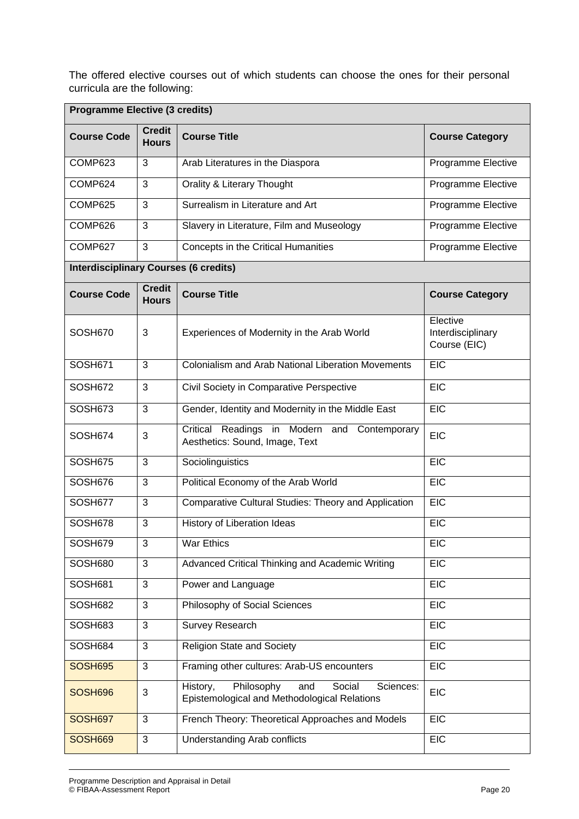The offered elective courses out of which students can choose the ones for their personal curricula are the following:

| <b>Programme Elective (3 credits)</b>        |                                                                                                           |                                                           |                                               |  |  |  |  |  |  |
|----------------------------------------------|-----------------------------------------------------------------------------------------------------------|-----------------------------------------------------------|-----------------------------------------------|--|--|--|--|--|--|
| <b>Course Code</b>                           | <b>Credit</b><br><b>Hours</b>                                                                             | <b>Course Title</b>                                       | <b>Course Category</b>                        |  |  |  |  |  |  |
| COMP623                                      | 3                                                                                                         | Arab Literatures in the Diaspora                          | Programme Elective                            |  |  |  |  |  |  |
| COMP624                                      | 3                                                                                                         | <b>Orality &amp; Literary Thought</b>                     | Programme Elective                            |  |  |  |  |  |  |
| COMP625                                      | 3                                                                                                         | Surrealism in Literature and Art                          | Programme Elective                            |  |  |  |  |  |  |
| COMP626                                      | 3                                                                                                         | Slavery in Literature, Film and Museology                 | Programme Elective                            |  |  |  |  |  |  |
| COMP627                                      | 3                                                                                                         | Concepts in the Critical Humanities                       | Programme Elective                            |  |  |  |  |  |  |
| <b>Interdisciplinary Courses (6 credits)</b> |                                                                                                           |                                                           |                                               |  |  |  |  |  |  |
| <b>Course Code</b>                           | <b>Credit</b><br><b>Hours</b>                                                                             | <b>Course Title</b>                                       | <b>Course Category</b>                        |  |  |  |  |  |  |
| SOSH670                                      | 3                                                                                                         | Experiences of Modernity in the Arab World                | Elective<br>Interdisciplinary<br>Course (EIC) |  |  |  |  |  |  |
| <b>SOSH671</b>                               | 3                                                                                                         | <b>Colonialism and Arab National Liberation Movements</b> | <b>EIC</b>                                    |  |  |  |  |  |  |
| SOSH672                                      | 3<br>Civil Society in Comparative Perspective                                                             |                                                           | <b>EIC</b>                                    |  |  |  |  |  |  |
| SOSH673                                      | 3                                                                                                         | Gender, Identity and Modernity in the Middle East         | <b>EIC</b>                                    |  |  |  |  |  |  |
| SOSH674                                      | Readings in Modern and Contemporary<br>Critical<br>3<br>Aesthetics: Sound, Image, Text                    |                                                           | <b>EIC</b>                                    |  |  |  |  |  |  |
| SOSH675                                      | 3                                                                                                         | Sociolinguistics                                          | EIC                                           |  |  |  |  |  |  |
| SOSH676                                      | 3                                                                                                         | Political Economy of the Arab World                       | <b>EIC</b>                                    |  |  |  |  |  |  |
| SOSH677                                      | 3                                                                                                         | Comparative Cultural Studies: Theory and Application      | <b>EIC</b>                                    |  |  |  |  |  |  |
| SOSH678                                      | 3                                                                                                         | History of Liberation Ideas                               | <b>EIC</b>                                    |  |  |  |  |  |  |
| SOSH679                                      | 3                                                                                                         | War Ethics                                                | <b>EIC</b>                                    |  |  |  |  |  |  |
| SOSH680                                      | 3                                                                                                         | Advanced Critical Thinking and Academic Writing           | <b>EIC</b>                                    |  |  |  |  |  |  |
| <b>SOSH681</b>                               | 3                                                                                                         | Power and Language                                        | <b>EIC</b>                                    |  |  |  |  |  |  |
| SOSH682                                      | 3                                                                                                         | Philosophy of Social Sciences                             | <b>EIC</b>                                    |  |  |  |  |  |  |
| SOSH683                                      | 3                                                                                                         | <b>Survey Research</b>                                    | <b>EIC</b>                                    |  |  |  |  |  |  |
| SOSH684                                      | 3                                                                                                         | <b>Religion State and Society</b>                         | <b>EIC</b>                                    |  |  |  |  |  |  |
| <b>SOSH695</b>                               | 3                                                                                                         | Framing other cultures: Arab-US encounters                | EIC                                           |  |  |  |  |  |  |
| <b>SOSH696</b>                               | Philosophy<br>Social<br>History,<br>Sciences:<br>and<br>3<br>Epistemological and Methodological Relations |                                                           | <b>EIC</b>                                    |  |  |  |  |  |  |
| <b>SOSH697</b>                               | 3                                                                                                         | French Theory: Theoretical Approaches and Models          | <b>EIC</b>                                    |  |  |  |  |  |  |
| <b>SOSH669</b>                               | 3                                                                                                         | Understanding Arab conflicts                              | <b>EIC</b>                                    |  |  |  |  |  |  |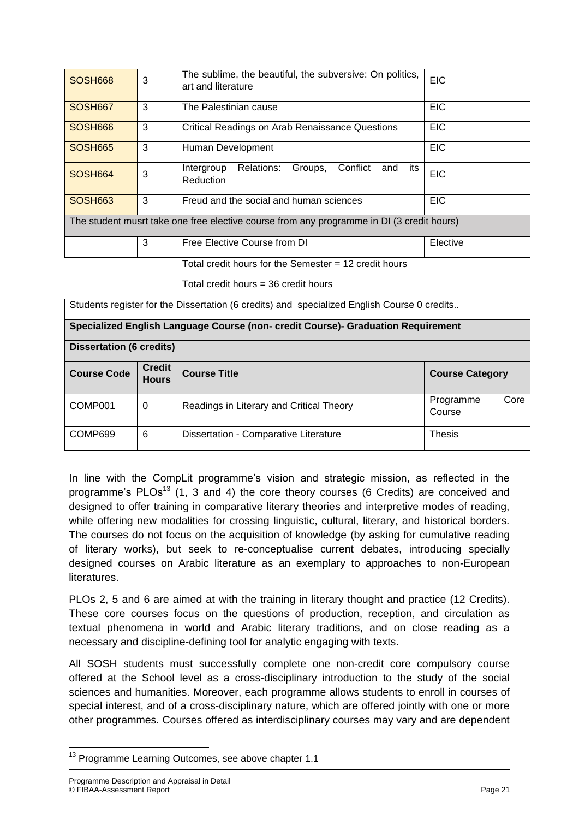| SOSH668                                                                                   | 3 | The sublime, the beautiful, the subversive: On politics,<br>art and literature | <b>EIC</b> |  |  |  |  |  |
|-------------------------------------------------------------------------------------------|---|--------------------------------------------------------------------------------|------------|--|--|--|--|--|
| SOSH667                                                                                   | 3 | The Palestinian cause                                                          | <b>EIC</b> |  |  |  |  |  |
| SOSH666                                                                                   | 3 | <b>Critical Readings on Arab Renaissance Questions</b>                         | <b>EIC</b> |  |  |  |  |  |
| <b>SOSH665</b>                                                                            | 3 | Human Development                                                              | <b>EIC</b> |  |  |  |  |  |
| SOSH664                                                                                   | 3 | Relations:<br>Groups,<br>Conflict<br>its<br>and<br>Intergroup<br>Reduction     | <b>EIC</b> |  |  |  |  |  |
| SOSH663                                                                                   | 3 | Freud and the social and human sciences                                        | <b>EIC</b> |  |  |  |  |  |
| The student musrt take one free elective course from any programme in DI (3 credit hours) |   |                                                                                |            |  |  |  |  |  |
|                                                                                           | 3 | Free Elective Course from DI                                                   | Elective   |  |  |  |  |  |

Total credit hours for the Semester  $= 12$  credit hours

Total credit hours  $=$  36 credit hours

| Students register for the Dissertation (6 credits) and specialized English Course 0 credits |  |
|---------------------------------------------------------------------------------------------|--|
|---------------------------------------------------------------------------------------------|--|

|  |  |  | Specialized English Language Course (non- credit Course)- Graduation Requirement |  |
|--|--|--|----------------------------------------------------------------------------------|--|
|  |  |  |                                                                                  |  |

| <b>Dissertation (6 credits)</b> |                                                      |                                          |                             |  |  |  |  |  |  |  |
|---------------------------------|------------------------------------------------------|------------------------------------------|-----------------------------|--|--|--|--|--|--|--|
| <b>Course Code</b>              | <b>Credit</b><br><b>Course Title</b><br><b>Hours</b> |                                          |                             |  |  |  |  |  |  |  |
| COMP001                         | 0                                                    | Readings in Literary and Critical Theory | Core<br>Programme<br>Course |  |  |  |  |  |  |  |
| COMP699                         | 6                                                    | Dissertation - Comparative Literature    | <b>Thesis</b>               |  |  |  |  |  |  |  |

In line with the CompLit programme's vision and strategic mission, as reflected in the programme's  $PLOs<sup>13</sup>$  (1, 3 and 4) the core theory courses (6 Credits) are conceived and designed to offer training in comparative literary theories and interpretive modes of reading, while offering new modalities for crossing linguistic, cultural, literary, and historical borders. The courses do not focus on the acquisition of knowledge (by asking for cumulative reading of literary works), but seek to re-conceptualise current debates, introducing specially designed courses on Arabic literature as an exemplary to approaches to non-European literatures.

PLOs 2, 5 and 6 are aimed at with the training in literary thought and practice (12 Credits). These core courses focus on the questions of production, reception, and circulation as textual phenomena in world and Arabic literary traditions, and on close reading as a necessary and discipline-defining tool for analytic engaging with texts.

All SOSH students must successfully complete one non-credit core compulsory course offered at the School level as a cross-disciplinary introduction to the study of the social sciences and humanities. Moreover, each programme allows students to enroll in courses of special interest, and of a cross-disciplinary nature, which are offered jointly with one or more other programmes. Courses offered as interdisciplinary courses may vary and are dependent

**<sup>.</sup>** <sup>13</sup> Programme Learning Outcomes, see above chapter 1.1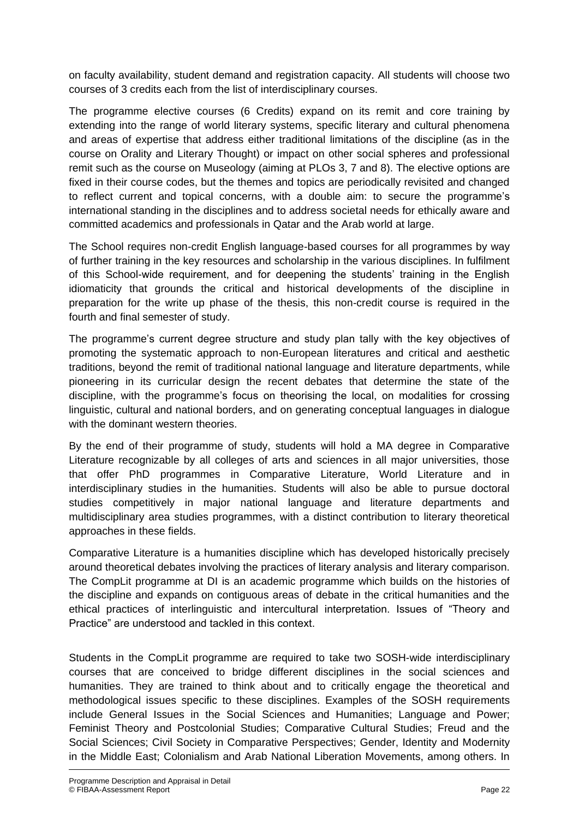on faculty availability, student demand and registration capacity. All students will choose two courses of 3 credits each from the list of interdisciplinary courses.

The programme elective courses (6 Credits) expand on its remit and core training by extending into the range of world literary systems, specific literary and cultural phenomena and areas of expertise that address either traditional limitations of the discipline (as in the course on Orality and Literary Thought) or impact on other social spheres and professional remit such as the course on Museology (aiming at PLOs 3, 7 and 8). The elective options are fixed in their course codes, but the themes and topics are periodically revisited and changed to reflect current and topical concerns, with a double aim: to secure the programme's international standing in the disciplines and to address societal needs for ethically aware and committed academics and professionals in Qatar and the Arab world at large.

The School requires non-credit English language-based courses for all programmes by way of further training in the key resources and scholarship in the various disciplines. In fulfilment of this School-wide requirement, and for deepening the students' training in the English idiomaticity that grounds the critical and historical developments of the discipline in preparation for the write up phase of the thesis, this non-credit course is required in the fourth and final semester of study.

The programme's current degree structure and study plan tally with the key objectives of promoting the systematic approach to non-European literatures and critical and aesthetic traditions, beyond the remit of traditional national language and literature departments, while pioneering in its curricular design the recent debates that determine the state of the discipline, with the programme's focus on theorising the local, on modalities for crossing linguistic, cultural and national borders, and on generating conceptual languages in dialogue with the dominant western theories.

By the end of their programme of study, students will hold a MA degree in Comparative Literature recognizable by all colleges of arts and sciences in all major universities, those that offer PhD programmes in Comparative Literature, World Literature and in interdisciplinary studies in the humanities. Students will also be able to pursue doctoral studies competitively in major national language and literature departments and multidisciplinary area studies programmes, with a distinct contribution to literary theoretical approaches in these fields.

Comparative Literature is a humanities discipline which has developed historically precisely around theoretical debates involving the practices of literary analysis and literary comparison. The CompLit programme at DI is an academic programme which builds on the histories of the discipline and expands on contiguous areas of debate in the critical humanities and the ethical practices of interlinguistic and intercultural interpretation. Issues of "Theory and Practice" are understood and tackled in this context.

Students in the CompLit programme are required to take two SOSH-wide interdisciplinary courses that are conceived to bridge different disciplines in the social sciences and humanities. They are trained to think about and to critically engage the theoretical and methodological issues specific to these disciplines. Examples of the SOSH requirements include General Issues in the Social Sciences and Humanities; Language and Power; Feminist Theory and Postcolonial Studies; Comparative Cultural Studies; Freud and the Social Sciences; Civil Society in Comparative Perspectives; Gender, Identity and Modernity in the Middle East; Colonialism and Arab National Liberation Movements, among others. In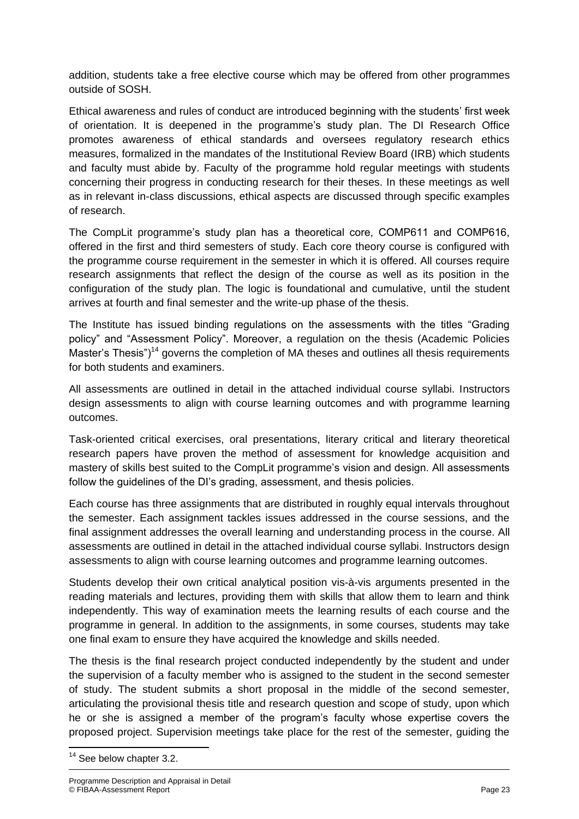addition, students take a free elective course which may be offered from other programmes outside of SOSH.

Ethical awareness and rules of conduct are introduced beginning with the students' first week of orientation. It is deepened in the programme's study plan. The DI Research Office promotes awareness of ethical standards and oversees regulatory research ethics measures, formalized in the mandates of the Institutional Review Board (IRB) which students and faculty must abide by. Faculty of the programme hold regular meetings with students concerning their progress in conducting research for their theses. In these meetings as well as in relevant in-class discussions, ethical aspects are discussed through specific examples of research.

The CompLit programme's study plan has a theoretical core, COMP611 and COMP616, offered in the first and third semesters of study. Each core theory course is configured with the programme course requirement in the semester in which it is offered. All courses require research assignments that reflect the design of the course as well as its position in the configuration of the study plan. The logic is foundational and cumulative, until the student arrives at fourth and final semester and the write-up phase of the thesis.

The Institute has issued binding regulations on the assessments with the titles "Grading policy" and "Assessment Policy". Moreover, a regulation on the thesis (Academic Policies Master's Thesis")<sup>14</sup> governs the completion of MA theses and outlines all thesis requirements for both students and examiners.

All assessments are outlined in detail in the attached individual course syllabi. Instructors design assessments to align with course learning outcomes and with programme learning outcomes.

Task-oriented critical exercises, oral presentations, literary critical and literary theoretical research papers have proven the method of assessment for knowledge acquisition and mastery of skills best suited to the CompLit programme's vision and design. All assessments follow the guidelines of the DI's grading, assessment, and thesis policies.

Each course has three assignments that are distributed in roughly equal intervals throughout the semester. Each assignment tackles issues addressed in the course sessions, and the final assignment addresses the overall learning and understanding process in the course. All assessments are outlined in detail in the attached individual course syllabi. Instructors design assessments to align with course learning outcomes and programme learning outcomes.

Students develop their own critical analytical position vis-à-vis arguments presented in the reading materials and lectures, providing them with skills that allow them to learn and think independently. This way of examination meets the learning results of each course and the programme in general. In addition to the assignments, in some courses, students may take one final exam to ensure they have acquired the knowledge and skills needed.

The thesis is the final research project conducted independently by the student and under the supervision of a faculty member who is assigned to the student in the second semester of study. The student submits a short proposal in the middle of the second semester, articulating the provisional thesis title and research question and scope of study, upon which he or she is assigned a member of the program's faculty whose expertise covers the proposed project. Supervision meetings take place for the rest of the semester, guiding the

**<sup>.</sup>** <sup>14</sup> See below chapter 3.2.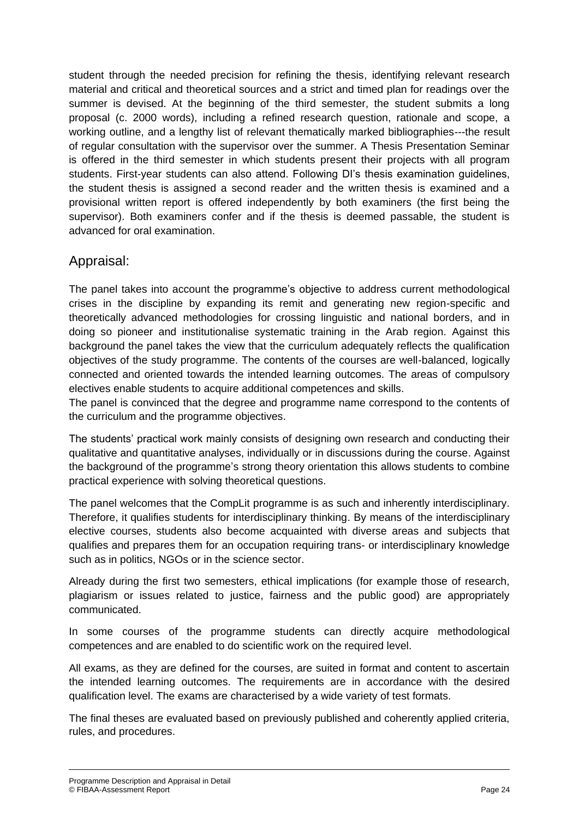student through the needed precision for refining the thesis, identifying relevant research material and critical and theoretical sources and a strict and timed plan for readings over the summer is devised. At the beginning of the third semester, the student submits a long proposal (c. 2000 words), including a refined research question, rationale and scope, a working outline, and a lengthy list of relevant thematically marked bibliographies---the result of regular consultation with the supervisor over the summer. A Thesis Presentation Seminar is offered in the third semester in which students present their projects with all program students. First-year students can also attend. Following DI's thesis examination guidelines, the student thesis is assigned a second reader and the written thesis is examined and a provisional written report is offered independently by both examiners (the first being the supervisor). Both examiners confer and if the thesis is deemed passable, the student is advanced for oral examination.

## Appraisal:

The panel takes into account the programme's objective to address current methodological crises in the discipline by expanding its remit and generating new region-specific and theoretically advanced methodologies for crossing linguistic and national borders, and in doing so pioneer and institutionalise systematic training in the Arab region. Against this background the panel takes the view that the curriculum adequately reflects the qualification objectives of the study programme. The contents of the courses are well-balanced, logically connected and oriented towards the intended learning outcomes. The areas of compulsory electives enable students to acquire additional competences and skills.

The panel is convinced that the degree and programme name correspond to the contents of the curriculum and the programme objectives.

The students' practical work mainly consists of designing own research and conducting their qualitative and quantitative analyses, individually or in discussions during the course. Against the background of the programme's strong theory orientation this allows students to combine practical experience with solving theoretical questions.

The panel welcomes that the CompLit programme is as such and inherently interdisciplinary. Therefore, it qualifies students for interdisciplinary thinking. By means of the interdisciplinary elective courses, students also become acquainted with diverse areas and subjects that qualifies and prepares them for an occupation requiring trans- or interdisciplinary knowledge such as in politics, NGOs or in the science sector.

Already during the first two semesters, ethical implications (for example those of research, plagiarism or issues related to justice, fairness and the public good) are appropriately communicated.

In some courses of the programme students can directly acquire methodological competences and are enabled to do scientific work on the required level.

All exams, as they are defined for the courses, are suited in format and content to ascertain the intended learning outcomes. The requirements are in accordance with the desired qualification level. The exams are characterised by a wide variety of test formats.

The final theses are evaluated based on previously published and coherently applied criteria, rules, and procedures.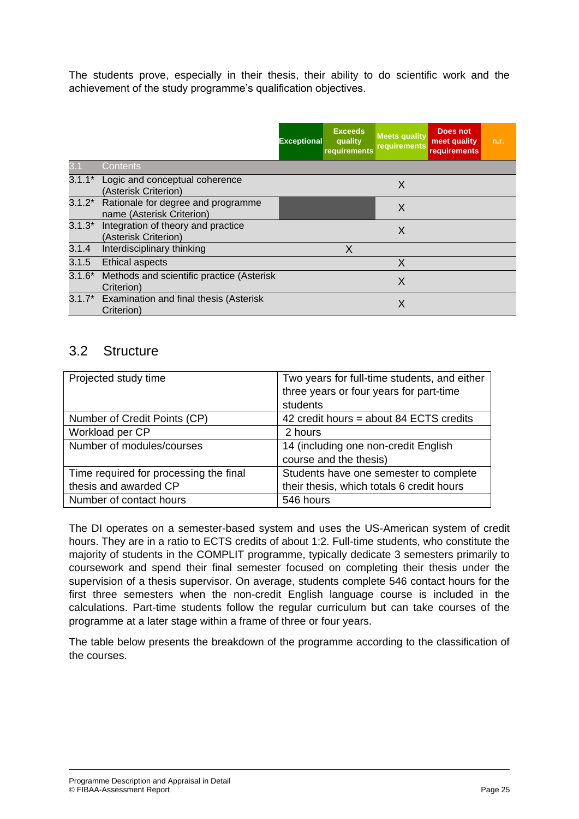The students prove, especially in their thesis, their ability to do scientific work and the achievement of the study programme's qualification objectives.

|          |                                                                 | <b>Exceptional</b> | <b>Exceeds</b><br>quality<br>requirements | <b>Meets quality</b><br><b>requirements</b> | Does not<br>meet quality<br>requirements | n.r. |
|----------|-----------------------------------------------------------------|--------------------|-------------------------------------------|---------------------------------------------|------------------------------------------|------|
|          | Contents                                                        |                    |                                           |                                             |                                          |      |
|          | 3.1.1* Logic and conceptual coherence<br>(Asterisk Criterion)   |                    |                                           | X                                           |                                          |      |
| $3.1.2*$ | Rationale for degree and programme<br>name (Asterisk Criterion) |                    |                                           | X                                           |                                          |      |
| $3.1.3*$ | Integration of theory and practice<br>(Asterisk Criterion)      |                    |                                           | X                                           |                                          |      |
| 3.1.4    | Interdisciplinary thinking                                      |                    | X                                         |                                             |                                          |      |
| 3.1.5    | <b>Ethical aspects</b>                                          |                    |                                           | X                                           |                                          |      |
| $3.1.6*$ | Methods and scientific practice (Asterisk<br>Criterion)         |                    |                                           | X                                           |                                          |      |
| $3.1.7*$ | Examination and final thesis (Asterisk<br>Criterion)            |                    |                                           | Χ                                           |                                          |      |

#### 3.2 Structure

| Projected study time                   | Two years for full-time students, and either |
|----------------------------------------|----------------------------------------------|
|                                        | three years or four years for part-time      |
|                                        | students                                     |
| Number of Credit Points (CP)           | 42 credit hours = about 84 ECTS credits      |
| Workload per CP                        | 2 hours                                      |
| Number of modules/courses              | 14 (including one non-credit English         |
|                                        | course and the thesis)                       |
| Time required for processing the final | Students have one semester to complete       |
| thesis and awarded CP                  | their thesis, which totals 6 credit hours    |
| Number of contact hours                | 546 hours                                    |

The DI operates on a semester-based system and uses the US-American system of credit hours. They are in a ratio to ECTS credits of about 1:2. Full-time students, who constitute the majority of students in the COMPLIT programme, typically dedicate 3 semesters primarily to coursework and spend their final semester focused on completing their thesis under the supervision of a thesis supervisor. On average, students complete 546 contact hours for the first three semesters when the non-credit English language course is included in the calculations. Part-time students follow the regular curriculum but can take courses of the programme at a later stage within a frame of three or four years.

The table below presents the breakdown of the programme according to the classification of the courses.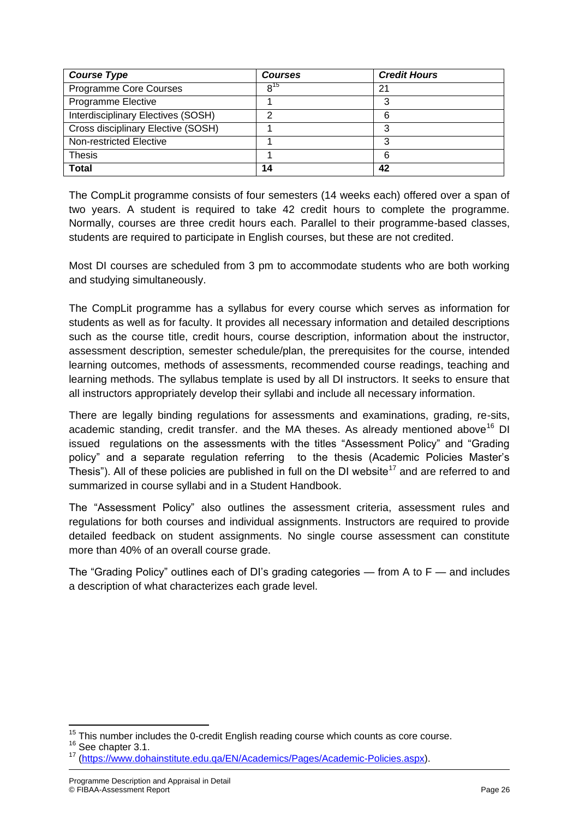| <b>Course Type</b>                 | <b>Courses</b> | <b>Credit Hours</b> |
|------------------------------------|----------------|---------------------|
| Programme Core Courses             | $8^{15}$       | 21                  |
| Programme Elective                 |                | 3                   |
| Interdisciplinary Electives (SOSH) |                | 6                   |
| Cross disciplinary Elective (SOSH) |                | າ                   |
| Non-restricted Elective            |                | 3                   |
| <b>Thesis</b>                      |                | 6                   |
| <b>Total</b>                       | 14             | 42                  |

The CompLit programme consists of four semesters (14 weeks each) offered over a span of two years. A student is required to take 42 credit hours to complete the programme. Normally, courses are three credit hours each. Parallel to their programme-based classes, students are required to participate in English courses, but these are not credited.

Most DI courses are scheduled from 3 pm to accommodate students who are both working and studying simultaneously.

The CompLit programme has a syllabus for every course which serves as information for students as well as for faculty. It provides all necessary information and detailed descriptions such as the course title, credit hours, course description, information about the instructor, assessment description, semester schedule/plan, the prerequisites for the course, intended learning outcomes, methods of assessments, recommended course readings, teaching and learning methods. The syllabus template is used by all DI instructors. It seeks to ensure that all instructors appropriately develop their syllabi and include all necessary information.

There are legally binding regulations for assessments and examinations, grading, re-sits, academic standing, credit transfer. and the MA theses. As already mentioned above<sup>16</sup> DI issued regulations on the assessments with the titles "Assessment Policy" and "Grading policy" and a separate regulation referring to the thesis (Academic Policies Master's Thesis"). All of these policies are published in full on the DI website<sup>17</sup> and are referred to and summarized in course syllabi and in a Student Handbook.

The "Assessment Policy" also outlines the assessment criteria, assessment rules and regulations for both courses and individual assignments. Instructors are required to provide detailed feedback on student assignments. No single course assessment can constitute more than 40% of an overall course grade.

The "Grading Policy" outlines each of DI's grading categories — from A to  $F$  — and includes a description of what characterizes each grade level.

 $\overline{\phantom{a}}$ 

 $15$  This number includes the 0-credit English reading course which counts as core course.

<sup>&</sup>lt;sup>16</sup> See chapter 3.1.

<sup>17</sup> [\(https://www.dohainstitute.edu.qa/EN/Academics/Pages/Academic-Policies.aspx\)](https://www.dohainstitute.edu.qa/EN/Academics/Pages/Academic-Policies.aspx).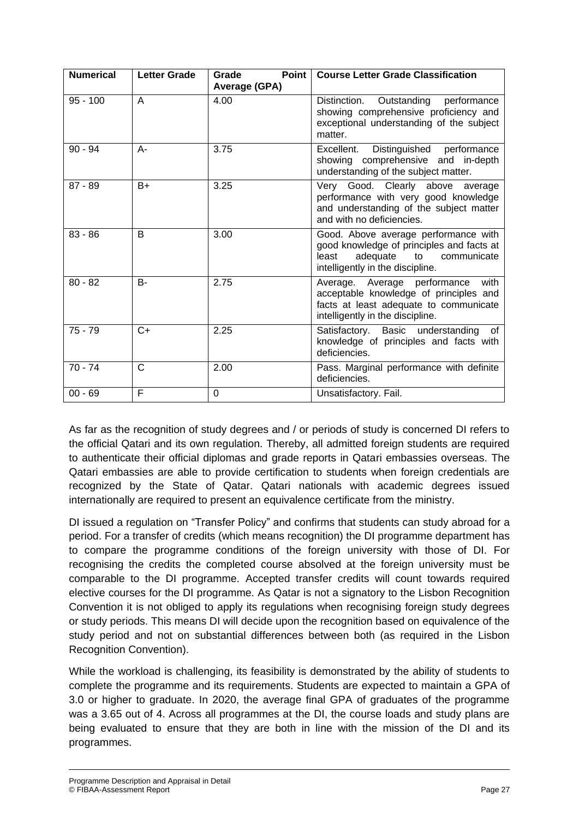| <b>Numerical</b> | <b>Letter Grade</b> | <b>Point</b><br>Grade<br><b>Average (GPA)</b> | <b>Course Letter Grade Classification</b>                                                                                                                       |
|------------------|---------------------|-----------------------------------------------|-----------------------------------------------------------------------------------------------------------------------------------------------------------------|
| $95 - 100$       | A                   | 4.00                                          | Outstanding performance<br>Distinction.<br>showing comprehensive proficiency and<br>exceptional understanding of the subject<br>matter.                         |
| $90 - 94$        | А-                  | 3.75                                          | Distinguished performance<br>Excellent.<br>showing comprehensive and in-depth<br>understanding of the subject matter.                                           |
| $87 - 89$        | $B+$                | 3.25                                          | Very Good. Clearly above average<br>performance with very good knowledge<br>and understanding of the subject matter<br>and with no deficiencies.                |
| $83 - 86$        | B                   | 3.00                                          | Good. Above average performance with<br>good knowledge of principles and facts at<br>adequate<br>least<br>to<br>communicate<br>intelligently in the discipline. |
| $80 - 82$        | $B -$               | 2.75                                          | Average. Average performance<br>with<br>acceptable knowledge of principles and<br>facts at least adequate to communicate<br>intelligently in the discipline.    |
| $75 - 79$        | $C+$                | 2.25                                          | Satisfactory. Basic understanding<br>of<br>knowledge of principles and facts with<br>deficiencies.                                                              |
| $70 - 74$        | C                   | 2.00                                          | Pass. Marginal performance with definite<br>deficiencies.                                                                                                       |
| $00 - 69$        | F                   | $\mathbf 0$                                   | Unsatisfactory. Fail.                                                                                                                                           |

As far as the recognition of study degrees and / or periods of study is concerned DI refers to the official Qatari and its own regulation. Thereby, all admitted foreign students are required to authenticate their official diplomas and grade reports in Qatari embassies overseas. The Qatari embassies are able to provide certification to students when foreign credentials are recognized by the State of Qatar. Qatari nationals with academic degrees issued internationally are required to present an equivalence certificate from the ministry.

DI issued a regulation on "Transfer Policy" and confirms that students can study abroad for a period. For a transfer of credits (which means recognition) the DI programme department has to compare the programme conditions of the foreign university with those of DI. For recognising the credits the completed course absolved at the foreign university must be comparable to the DI programme. Accepted transfer credits will count towards required elective courses for the DI programme. As Qatar is not a signatory to the Lisbon Recognition Convention it is not obliged to apply its regulations when recognising foreign study degrees or study periods. This means DI will decide upon the recognition based on equivalence of the study period and not on substantial differences between both (as required in the Lisbon Recognition Convention).

While the workload is challenging, its feasibility is demonstrated by the ability of students to complete the programme and its requirements. Students are expected to maintain a GPA of 3.0 or higher to graduate. In 2020, the average final GPA of graduates of the programme was a 3.65 out of 4. Across all programmes at the DI, the course loads and study plans are being evaluated to ensure that they are both in line with the mission of the DI and its programmes.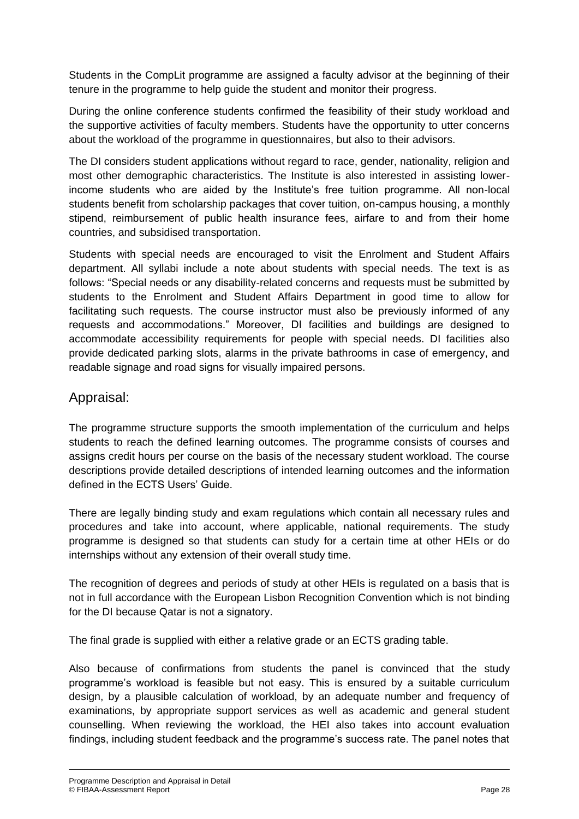Students in the CompLit programme are assigned a faculty advisor at the beginning of their tenure in the programme to help guide the student and monitor their progress.

During the online conference students confirmed the feasibility of their study workload and the supportive activities of faculty members. Students have the opportunity to utter concerns about the workload of the programme in questionnaires, but also to their advisors.

The DI considers student applications without regard to race, gender, nationality, religion and most other demographic characteristics. The Institute is also interested in assisting lowerincome students who are aided by the Institute's free tuition programme. All non-local students benefit from scholarship packages that cover tuition, on-campus housing, a monthly stipend, reimbursement of public health insurance fees, airfare to and from their home countries, and subsidised transportation.

Students with special needs are encouraged to visit the Enrolment and Student Affairs department. All syllabi include a note about students with special needs. The text is as follows: "Special needs or any disability-related concerns and requests must be submitted by students to the Enrolment and Student Affairs Department in good time to allow for facilitating such requests. The course instructor must also be previously informed of any requests and accommodations." Moreover, DI facilities and buildings are designed to accommodate accessibility requirements for people with special needs. DI facilities also provide dedicated parking slots, alarms in the private bathrooms in case of emergency, and readable signage and road signs for visually impaired persons.

### Appraisal:

The programme structure supports the smooth implementation of the curriculum and helps students to reach the defined learning outcomes. The programme consists of courses and assigns credit hours per course on the basis of the necessary student workload. The course descriptions provide detailed descriptions of intended learning outcomes and the information defined in the ECTS Users' Guide.

There are legally binding study and exam regulations which contain all necessary rules and procedures and take into account, where applicable, national requirements. The study programme is designed so that students can study for a certain time at other HEIs or do internships without any extension of their overall study time.

The recognition of degrees and periods of study at other HEIs is regulated on a basis that is not in full accordance with the European Lisbon Recognition Convention which is not binding for the DI because Qatar is not a signatory.

The final grade is supplied with either a relative grade or an ECTS grading table.

Also because of confirmations from students the panel is convinced that the study programme's workload is feasible but not easy. This is ensured by a suitable curriculum design, by a plausible calculation of workload, by an adequate number and frequency of examinations, by appropriate support services as well as academic and general student counselling. When reviewing the workload, the HEI also takes into account evaluation findings, including student feedback and the programme's success rate. The panel notes that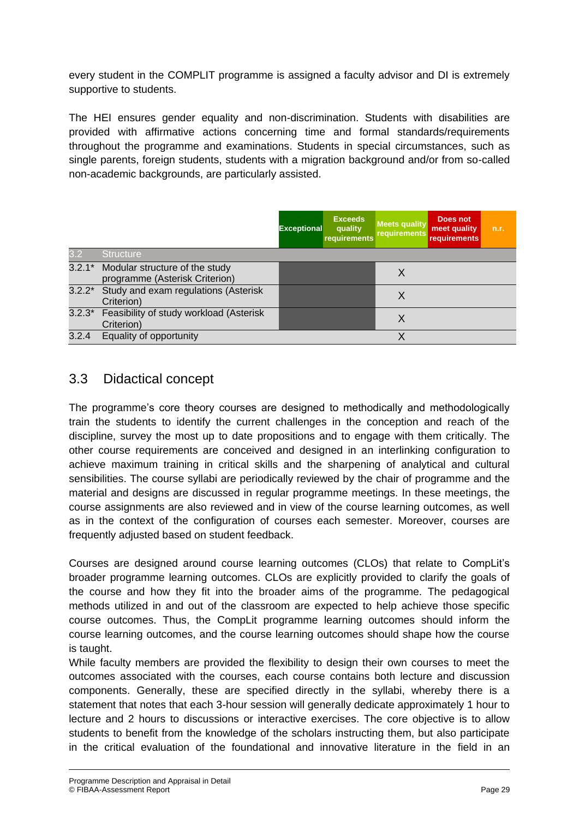every student in the COMPLIT programme is assigned a faculty advisor and DI is extremely supportive to students.

The HEI ensures gender equality and non-discrimination. Students with disabilities are provided with affirmative actions concerning time and formal standards/requirements throughout the programme and examinations. Students in special circumstances, such as single parents, foreign students, students with a migration background and/or from so-called non-academic backgrounds, are particularly assisted.

|          |                                                                  | <b>Exceptional</b> | <b>Exceeds</b><br>quality<br>requirements | <b>Meets quality</b><br>requirements | <b>Does not</b><br>meet quality<br><b>requirements</b> | n.r. |
|----------|------------------------------------------------------------------|--------------------|-------------------------------------------|--------------------------------------|--------------------------------------------------------|------|
| 3.2      | <b>Structure</b>                                                 |                    |                                           |                                      |                                                        |      |
| $3.2.1*$ | Modular structure of the study<br>programme (Asterisk Criterion) |                    |                                           | X                                    |                                                        |      |
|          | 3.2.2* Study and exam regulations (Asterisk<br>Criterion)        |                    |                                           | Χ                                    |                                                        |      |
|          | 3.2.3* Feasibility of study workload (Asterisk<br>Criterion)     |                    |                                           | X                                    |                                                        |      |
| 3.2.4    | Equality of opportunity                                          |                    |                                           | Χ                                    |                                                        |      |

## 3.3 Didactical concept

The programme's core theory courses are designed to methodically and methodologically train the students to identify the current challenges in the conception and reach of the discipline, survey the most up to date propositions and to engage with them critically. The other course requirements are conceived and designed in an interlinking configuration to achieve maximum training in critical skills and the sharpening of analytical and cultural sensibilities. The course syllabi are periodically reviewed by the chair of programme and the material and designs are discussed in regular programme meetings. In these meetings, the course assignments are also reviewed and in view of the course learning outcomes, as well as in the context of the configuration of courses each semester. Moreover, courses are frequently adjusted based on student feedback.

Courses are designed around course learning outcomes (CLOs) that relate to CompLit's broader programme learning outcomes. CLOs are explicitly provided to clarify the goals of the course and how they fit into the broader aims of the programme. The pedagogical methods utilized in and out of the classroom are expected to help achieve those specific course outcomes. Thus, the CompLit programme learning outcomes should inform the course learning outcomes, and the course learning outcomes should shape how the course is taught.

While faculty members are provided the flexibility to design their own courses to meet the outcomes associated with the courses, each course contains both lecture and discussion components. Generally, these are specified directly in the syllabi, whereby there is a statement that notes that each 3-hour session will generally dedicate approximately 1 hour to lecture and 2 hours to discussions or interactive exercises. The core objective is to allow students to benefit from the knowledge of the scholars instructing them, but also participate in the critical evaluation of the foundational and innovative literature in the field in an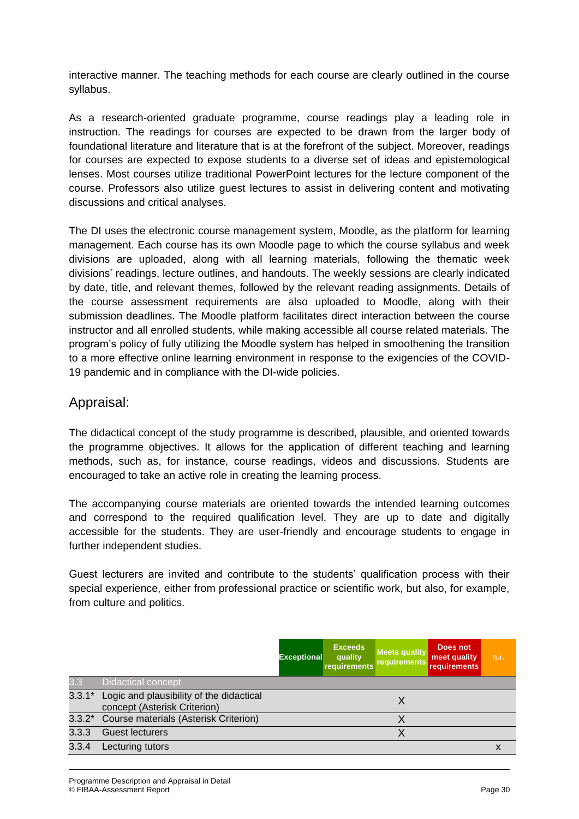interactive manner. The teaching methods for each course are clearly outlined in the course syllabus.

As a research-oriented graduate programme, course readings play a leading role in instruction. The readings for courses are expected to be drawn from the larger body of foundational literature and literature that is at the forefront of the subject. Moreover, readings for courses are expected to expose students to a diverse set of ideas and epistemological lenses. Most courses utilize traditional PowerPoint lectures for the lecture component of the course. Professors also utilize guest lectures to assist in delivering content and motivating discussions and critical analyses.

The DI uses the electronic course management system, Moodle, as the platform for learning management. Each course has its own Moodle page to which the course syllabus and week divisions are uploaded, along with all learning materials, following the thematic week divisions' readings, lecture outlines, and handouts. The weekly sessions are clearly indicated by date, title, and relevant themes, followed by the relevant reading assignments. Details of the course assessment requirements are also uploaded to Moodle, along with their submission deadlines. The Moodle platform facilitates direct interaction between the course instructor and all enrolled students, while making accessible all course related materials. The program's policy of fully utilizing the Moodle system has helped in smoothening the transition to a more effective online learning environment in response to the exigencies of the COVID-19 pandemic and in compliance with the DI-wide policies.

### Appraisal:

The didactical concept of the study programme is described, plausible, and oriented towards the programme objectives. It allows for the application of different teaching and learning methods, such as, for instance, course readings, videos and discussions. Students are encouraged to take an active role in creating the learning process.

The accompanying course materials are oriented towards the intended learning outcomes and correspond to the required qualification level. They are up to date and digitally accessible for the students. They are user-friendly and encourage students to engage in further independent studies.

Guest lecturers are invited and contribute to the students' qualification process with their special experience, either from professional practice or scientific work, but also, for example, from culture and politics.

|          |                                                                          | <b>Exceptional</b> | <b>Exceeds</b><br>quality<br>requirements | <b>Meets quality</b><br>requirements | Does not<br>meet quality<br><b>requirements</b> | n.r. |
|----------|--------------------------------------------------------------------------|--------------------|-------------------------------------------|--------------------------------------|-------------------------------------------------|------|
| 3.3      | <b>Didactical concept</b>                                                |                    |                                           |                                      |                                                 |      |
| $3.3.1*$ | Logic and plausibility of the didactical<br>concept (Asterisk Criterion) |                    |                                           | X                                    |                                                 |      |
|          | 3.3.2* Course materials (Asterisk Criterion)                             |                    |                                           |                                      |                                                 |      |
| 3.3.3    | <b>Guest lecturers</b>                                                   |                    |                                           |                                      |                                                 |      |
| 3.3.4    | Lecturing tutors                                                         |                    |                                           |                                      |                                                 | х    |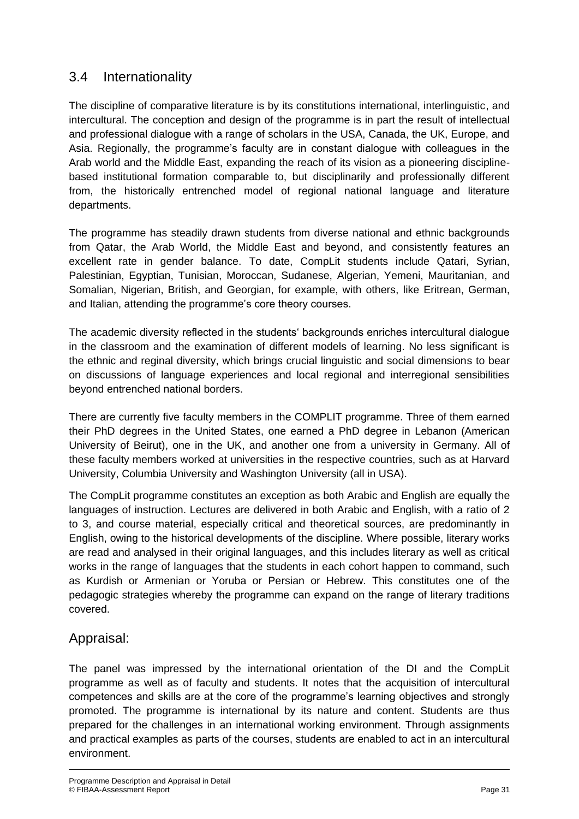## 3.4 Internationality

The discipline of comparative literature is by its constitutions international, interlinguistic, and intercultural. The conception and design of the programme is in part the result of intellectual and professional dialogue with a range of scholars in the USA, Canada, the UK, Europe, and Asia. Regionally, the programme's faculty are in constant dialogue with colleagues in the Arab world and the Middle East, expanding the reach of its vision as a pioneering disciplinebased institutional formation comparable to, but disciplinarily and professionally different from, the historically entrenched model of regional national language and literature departments.

The programme has steadily drawn students from diverse national and ethnic backgrounds from Qatar, the Arab World, the Middle East and beyond, and consistently features an excellent rate in gender balance. To date, CompLit students include Qatari, Syrian, Palestinian, Egyptian, Tunisian, Moroccan, Sudanese, Algerian, Yemeni, Mauritanian, and Somalian, Nigerian, British, and Georgian, for example, with others, like Eritrean, German, and Italian, attending the programme's core theory courses.

The academic diversity reflected in the students' backgrounds enriches intercultural dialogue in the classroom and the examination of different models of learning. No less significant is the ethnic and reginal diversity, which brings crucial linguistic and social dimensions to bear on discussions of language experiences and local regional and interregional sensibilities beyond entrenched national borders.

There are currently five faculty members in the COMPLIT programme. Three of them earned their PhD degrees in the United States, one earned a PhD degree in Lebanon (American University of Beirut), one in the UK, and another one from a university in Germany. All of these faculty members worked at universities in the respective countries, such as at Harvard University, Columbia University and Washington University (all in USA).

The CompLit programme constitutes an exception as both Arabic and English are equally the languages of instruction. Lectures are delivered in both Arabic and English, with a ratio of 2 to 3, and course material, especially critical and theoretical sources, are predominantly in English, owing to the historical developments of the discipline. Where possible, literary works are read and analysed in their original languages, and this includes literary as well as critical works in the range of languages that the students in each cohort happen to command, such as Kurdish or Armenian or Yoruba or Persian or Hebrew. This constitutes one of the pedagogic strategies whereby the programme can expand on the range of literary traditions covered.

## Appraisal:

The panel was impressed by the international orientation of the DI and the CompLit programme as well as of faculty and students. It notes that the acquisition of intercultural competences and skills are at the core of the programme's learning objectives and strongly promoted. The programme is international by its nature and content. Students are thus prepared for the challenges in an international working environment. Through assignments and practical examples as parts of the courses, students are enabled to act in an intercultural environment.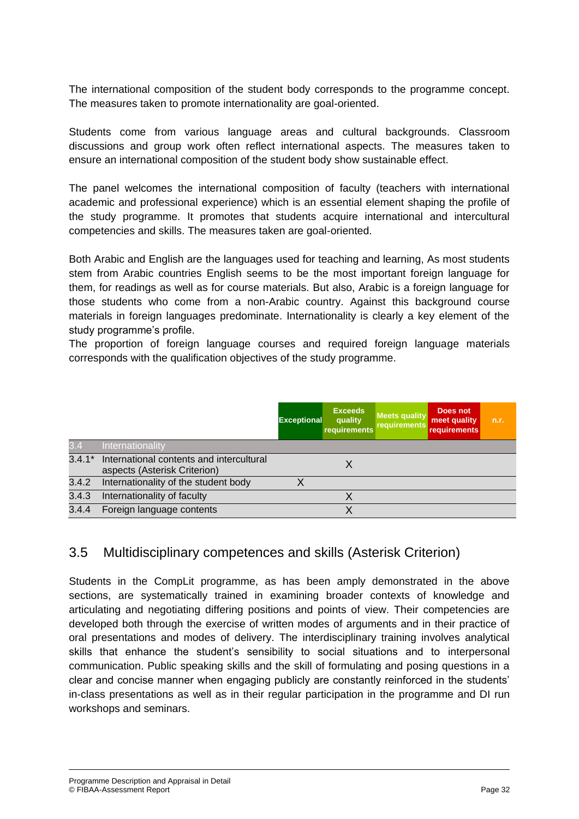The international composition of the student body corresponds to the programme concept. The measures taken to promote internationality are goal-oriented.

Students come from various language areas and cultural backgrounds. Classroom discussions and group work often reflect international aspects. The measures taken to ensure an international composition of the student body show sustainable effect.

The panel welcomes the international composition of faculty (teachers with international academic and professional experience) which is an essential element shaping the profile of the study programme. It promotes that students acquire international and intercultural competencies and skills. The measures taken are goal-oriented.

Both Arabic and English are the languages used for teaching and learning, As most students stem from Arabic countries English seems to be the most important foreign language for them, for readings as well as for course materials. But also, Arabic is a foreign language for those students who come from a non-Arabic country. Against this background course materials in foreign languages predominate. Internationality is clearly a key element of the study programme's profile.

The proportion of foreign language courses and required foreign language materials corresponds with the qualification objectives of the study programme.

|          |                                                                          | <b>Exceptional</b> | <b>Exceeds</b><br>quality<br>requirements | <b>Meets quality</b><br>requirements | Does not<br>meet quality<br><b>requirements</b> | n.r. |
|----------|--------------------------------------------------------------------------|--------------------|-------------------------------------------|--------------------------------------|-------------------------------------------------|------|
| 3.4      | Internationality                                                         |                    |                                           |                                      |                                                 |      |
| $3.4.1*$ | International contents and intercultural<br>aspects (Asterisk Criterion) |                    |                                           |                                      |                                                 |      |
| 3.4.2    | Internationality of the student body                                     |                    |                                           |                                      |                                                 |      |
| 3.4.3    | Internationality of faculty                                              |                    |                                           |                                      |                                                 |      |
| 3.4.4    | Foreign language contents                                                |                    |                                           |                                      |                                                 |      |

## 3.5 Multidisciplinary competences and skills (Asterisk Criterion)

Students in the CompLit programme, as has been amply demonstrated in the above sections, are systematically trained in examining broader contexts of knowledge and articulating and negotiating differing positions and points of view. Their competencies are developed both through the exercise of written modes of arguments and in their practice of oral presentations and modes of delivery. The interdisciplinary training involves analytical skills that enhance the student's sensibility to social situations and to interpersonal communication. Public speaking skills and the skill of formulating and posing questions in a clear and concise manner when engaging publicly are constantly reinforced in the students' in-class presentations as well as in their regular participation in the programme and DI run workshops and seminars.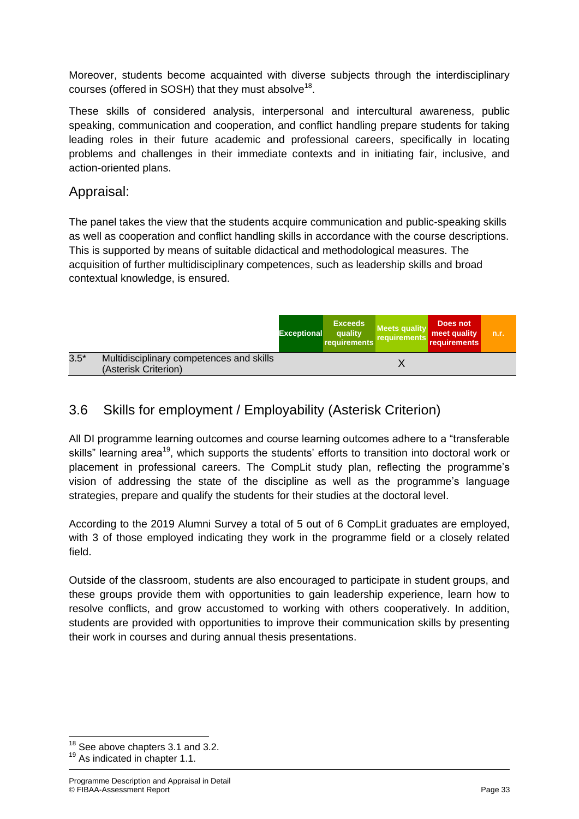Moreover, students become acquainted with diverse subjects through the interdisciplinary courses (offered in SOSH) that they must absolve $^{18}$ .

These skills of considered analysis, interpersonal and intercultural awareness, public speaking, communication and cooperation, and conflict handling prepare students for taking leading roles in their future academic and professional careers, specifically in locating problems and challenges in their immediate contexts and in initiating fair, inclusive, and action-oriented plans.

### Appraisal:

The panel takes the view that the students acquire communication and public-speaking skills as well as cooperation and conflict handling skills in accordance with the course descriptions. This is supported by means of suitable didactical and methodological measures. The acquisition of further multidisciplinary competences, such as leadership skills and broad contextual knowledge, is ensured.

|        |                                                                  | <b>Exceptional</b> | <b>Exceeds</b><br>quality<br>requirements | <b>Meets quality</b><br>requirements | Does not<br>meet quality<br>requirements | n.r. |
|--------|------------------------------------------------------------------|--------------------|-------------------------------------------|--------------------------------------|------------------------------------------|------|
| $3.5*$ | Multidisciplinary competences and skills<br>(Asterisk Criterion) |                    |                                           |                                      |                                          |      |

## 3.6 Skills for employment / Employability (Asterisk Criterion)

All DI programme learning outcomes and course learning outcomes adhere to a "transferable skills" learning area<sup>19</sup>, which supports the students' efforts to transition into doctoral work or placement in professional careers. The CompLit study plan, reflecting the programme's vision of addressing the state of the discipline as well as the programme's language strategies, prepare and qualify the students for their studies at the doctoral level.

According to the 2019 Alumni Survey a total of 5 out of 6 CompLit graduates are employed, with 3 of those employed indicating they work in the programme field or a closely related field.

Outside of the classroom, students are also encouraged to participate in student groups, and these groups provide them with opportunities to gain leadership experience, learn how to resolve conflicts, and grow accustomed to working with others cooperatively. In addition, students are provided with opportunities to improve their communication skills by presenting their work in courses and during annual thesis presentations.

**.** 

 $18$  See above chapters 3.1 and 3.2.

<sup>&</sup>lt;sup>19</sup> As indicated in chapter 1.1.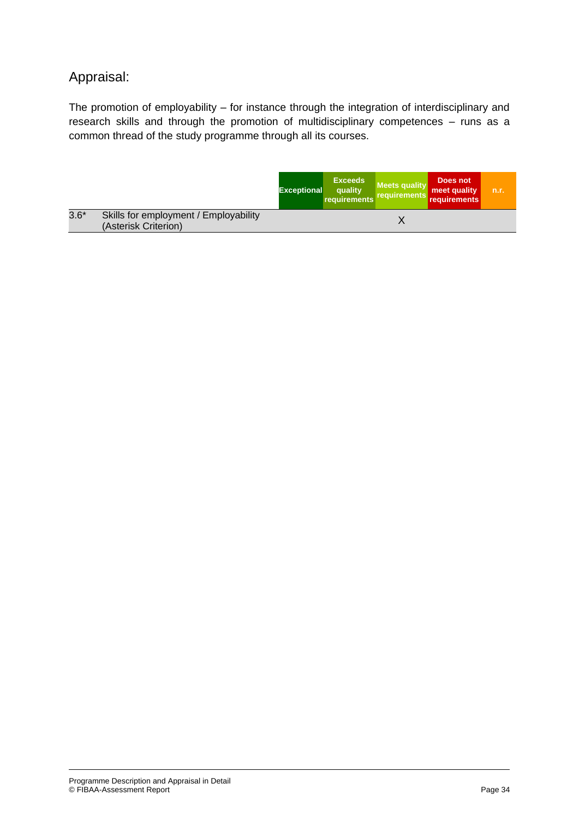## Appraisal:

The promotion of employability – for instance through the integration of interdisciplinary and research skills and through the promotion of multidisciplinary competences – runs as a common thread of the study programme through all its courses.

|        |                                                               | <b>Exceptional</b> | <b>Exceeds</b><br>quality<br>requirements | <b>Meets quality</b><br>requirements | Does not<br>meet quality<br><b>requirements</b> | n.r. |
|--------|---------------------------------------------------------------|--------------------|-------------------------------------------|--------------------------------------|-------------------------------------------------|------|
| $3.6*$ | Skills for employment / Employability<br>(Asterisk Criterion) |                    |                                           |                                      |                                                 |      |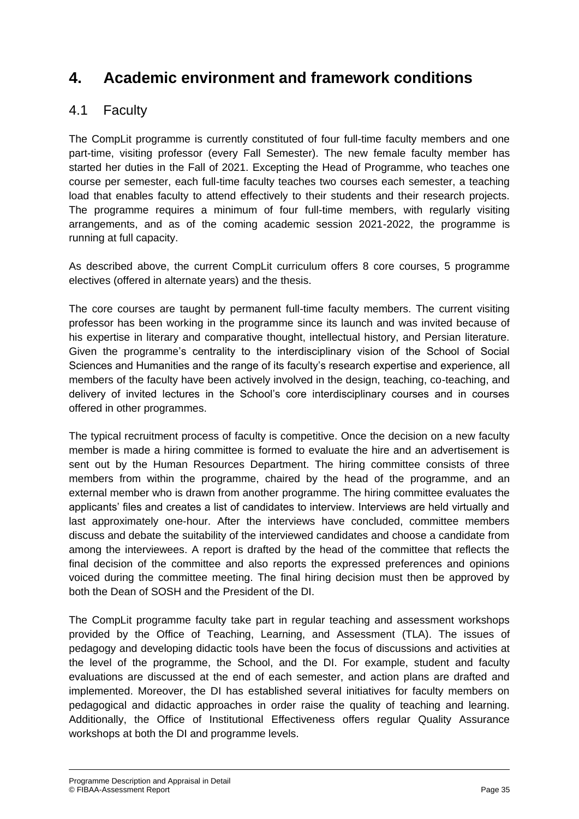## **4. Academic environment and framework conditions**

## 4.1 Faculty

The CompLit programme is currently constituted of four full-time faculty members and one part-time, visiting professor (every Fall Semester). The new female faculty member has started her duties in the Fall of 2021. Excepting the Head of Programme, who teaches one course per semester, each full-time faculty teaches two courses each semester, a teaching load that enables faculty to attend effectively to their students and their research projects. The programme requires a minimum of four full-time members, with regularly visiting arrangements, and as of the coming academic session 2021-2022, the programme is running at full capacity.

As described above, the current CompLit curriculum offers 8 core courses, 5 programme electives (offered in alternate years) and the thesis.

The core courses are taught by permanent full-time faculty members. The current visiting professor has been working in the programme since its launch and was invited because of his expertise in literary and comparative thought, intellectual history, and Persian literature. Given the programme's centrality to the interdisciplinary vision of the School of Social Sciences and Humanities and the range of its faculty's research expertise and experience, all members of the faculty have been actively involved in the design, teaching, co-teaching, and delivery of invited lectures in the School's core interdisciplinary courses and in courses offered in other programmes.

The typical recruitment process of faculty is competitive. Once the decision on a new faculty member is made a hiring committee is formed to evaluate the hire and an advertisement is sent out by the Human Resources Department. The hiring committee consists of three members from within the programme, chaired by the head of the programme, and an external member who is drawn from another programme. The hiring committee evaluates the applicants' files and creates a list of candidates to interview. Interviews are held virtually and last approximately one-hour. After the interviews have concluded, committee members discuss and debate the suitability of the interviewed candidates and choose a candidate from among the interviewees. A report is drafted by the head of the committee that reflects the final decision of the committee and also reports the expressed preferences and opinions voiced during the committee meeting. The final hiring decision must then be approved by both the Dean of SOSH and the President of the DI.

The CompLit programme faculty take part in regular teaching and assessment workshops provided by the Office of Teaching, Learning, and Assessment (TLA). The issues of pedagogy and developing didactic tools have been the focus of discussions and activities at the level of the programme, the School, and the DI. For example, student and faculty evaluations are discussed at the end of each semester, and action plans are drafted and implemented. Moreover, the DI has established several initiatives for faculty members on pedagogical and didactic approaches in order raise the quality of teaching and learning. Additionally, the Office of Institutional Effectiveness offers regular Quality Assurance workshops at both the DI and programme levels.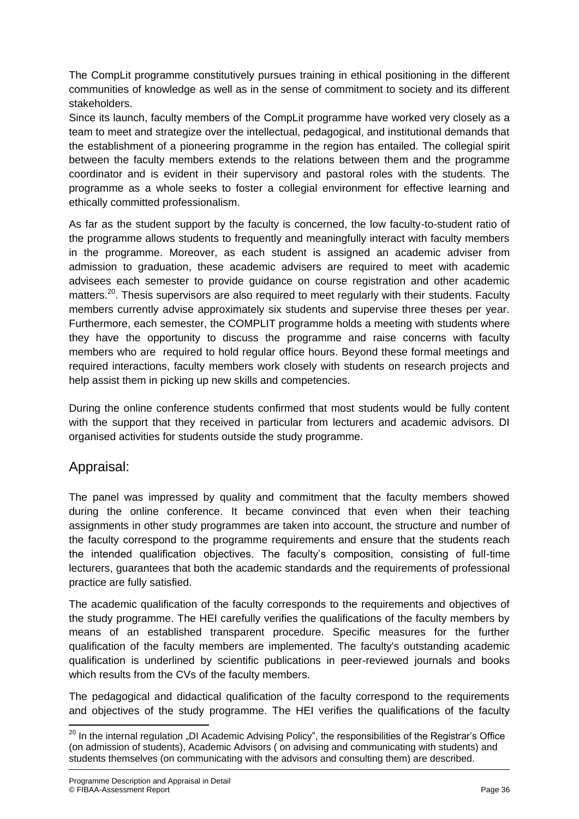The CompLit programme constitutively pursues training in ethical positioning in the different communities of knowledge as well as in the sense of commitment to society and its different stakeholders.

Since its launch, faculty members of the CompLit programme have worked very closely as a team to meet and strategize over the intellectual, pedagogical, and institutional demands that the establishment of a pioneering programme in the region has entailed. The collegial spirit between the faculty members extends to the relations between them and the programme coordinator and is evident in their supervisory and pastoral roles with the students. The programme as a whole seeks to foster a collegial environment for effective learning and ethically committed professionalism.

As far as the student support by the faculty is concerned, the low faculty-to-student ratio of the programme allows students to frequently and meaningfully interact with faculty members in the programme. Moreover, as each student is assigned an academic adviser from admission to graduation, these academic advisers are required to meet with academic advisees each semester to provide guidance on course registration and other academic matters.<sup>20</sup>. Thesis supervisors are also required to meet regularly with their students. Faculty members currently advise approximately six students and supervise three theses per year. Furthermore, each semester, the COMPLIT programme holds a meeting with students where they have the opportunity to discuss the programme and raise concerns with faculty members who are required to hold regular office hours. Beyond these formal meetings and required interactions, faculty members work closely with students on research projects and help assist them in picking up new skills and competencies.

During the online conference students confirmed that most students would be fully content with the support that they received in particular from lecturers and academic advisors. DI organised activities for students outside the study programme.

## Appraisal:

The panel was impressed by quality and commitment that the faculty members showed during the online conference. It became convinced that even when their teaching assignments in other study programmes are taken into account, the structure and number of the faculty correspond to the programme requirements and ensure that the students reach the intended qualification objectives. The faculty's composition, consisting of full-time lecturers, guarantees that both the academic standards and the requirements of professional practice are fully satisfied.

The academic qualification of the faculty corresponds to the requirements and objectives of the study programme. The HEI carefully verifies the qualifications of the faculty members by means of an established transparent procedure. Specific measures for the further qualification of the faculty members are implemented. The faculty's outstanding academic qualification is underlined by scientific publications in peer-reviewed journals and books which results from the CVs of the faculty members.

The pedagogical and didactical qualification of the faculty correspond to the requirements and objectives of the study programme. The HEI verifies the qualifications of the faculty

 $\overline{\phantom{a}}$  $^{20}$  In the internal regulation "DI Academic Advising Policy", the responsibilities of the Registrar's Office (on admission of students), Academic Advisors ( on advising and communicating with students) and students themselves (on communicating with the advisors and consulting them) are described.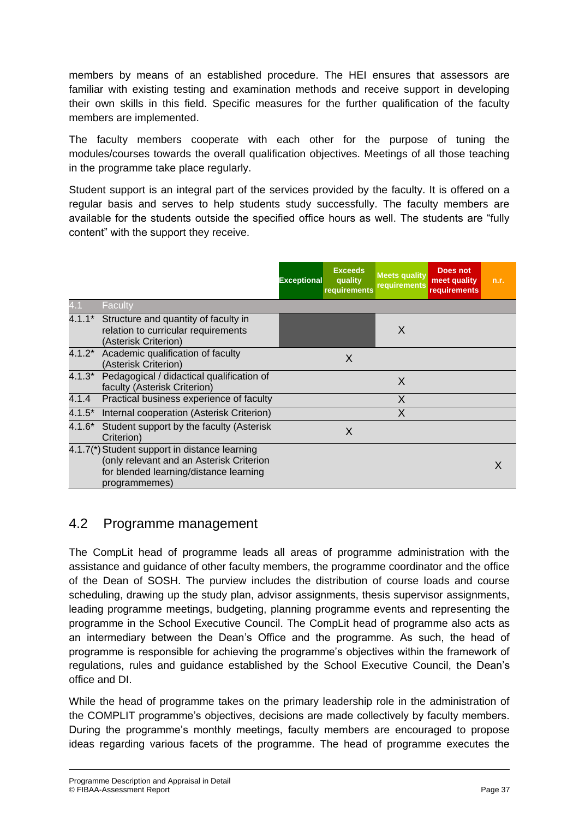members by means of an established procedure. The HEI ensures that assessors are familiar with existing testing and examination methods and receive support in developing their own skills in this field. Specific measures for the further qualification of the faculty members are implemented.

The faculty members cooperate with each other for the purpose of tuning the modules/courses towards the overall qualification objectives. Meetings of all those teaching in the programme take place regularly.

Student support is an integral part of the services provided by the faculty. It is offered on a regular basis and serves to help students study successfully. The faculty members are available for the students outside the specified office hours as well. The students are "fully content" with the support they receive.

|          |                                                                                                                                                      | <b>Exceptional</b> | <b>Exceeds</b><br>quality<br>requirements | <b>Meets quality</b><br>requirements | <b>Does not</b><br>meet quality<br><b>requirements</b> | n.r. |
|----------|------------------------------------------------------------------------------------------------------------------------------------------------------|--------------------|-------------------------------------------|--------------------------------------|--------------------------------------------------------|------|
| 4.1      | Faculty                                                                                                                                              |                    |                                           |                                      |                                                        |      |
|          | 4.1.1* Structure and quantity of faculty in<br>relation to curricular requirements<br>(Asterisk Criterion)                                           |                    |                                           | X                                    |                                                        |      |
|          | 4.1.2* Academic qualification of faculty<br>(Asterisk Criterion)                                                                                     |                    | X                                         |                                      |                                                        |      |
| $4.1.3*$ | Pedagogical / didactical qualification of<br>faculty (Asterisk Criterion)                                                                            |                    |                                           | X                                    |                                                        |      |
| 4.1.4    | Practical business experience of faculty                                                                                                             |                    |                                           | X                                    |                                                        |      |
| $4.1.5*$ | Internal cooperation (Asterisk Criterion)                                                                                                            |                    |                                           | X                                    |                                                        |      |
| 4.1.6*   | Student support by the faculty (Asterisk<br>Criterion)                                                                                               |                    | X                                         |                                      |                                                        |      |
|          | 4.1.7(*) Student support in distance learning<br>(only relevant and an Asterisk Criterion<br>for blended learning/distance learning<br>programmemes) |                    |                                           |                                      |                                                        | X    |

## 4.2 Programme management

The CompLit head of programme leads all areas of programme administration with the assistance and guidance of other faculty members, the programme coordinator and the office of the Dean of SOSH. The purview includes the distribution of course loads and course scheduling, drawing up the study plan, advisor assignments, thesis supervisor assignments, leading programme meetings, budgeting, planning programme events and representing the programme in the School Executive Council. The CompLit head of programme also acts as an intermediary between the Dean's Office and the programme. As such, the head of programme is responsible for achieving the programme's objectives within the framework of regulations, rules and guidance established by the School Executive Council, the Dean's office and DI.

While the head of programme takes on the primary leadership role in the administration of the COMPLIT programme's objectives, decisions are made collectively by faculty members. During the programme's monthly meetings, faculty members are encouraged to propose ideas regarding various facets of the programme. The head of programme executes the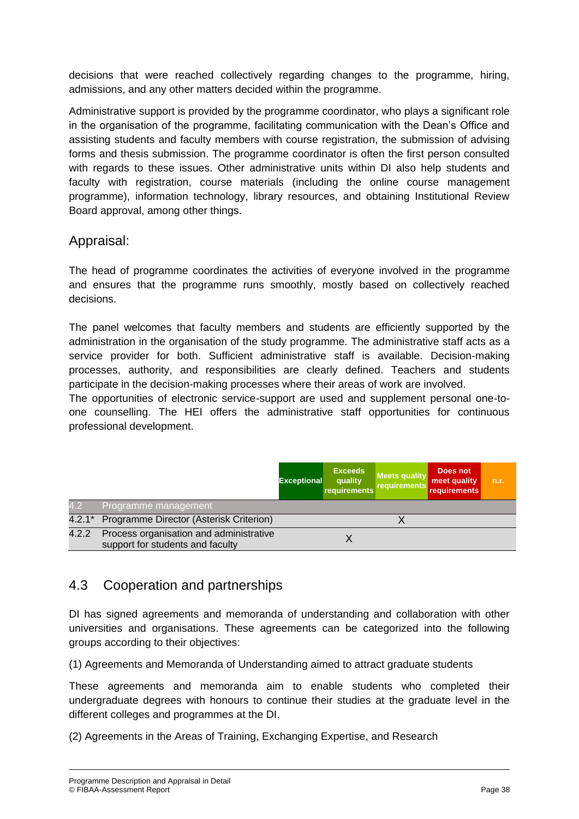decisions that were reached collectively regarding changes to the programme, hiring, admissions, and any other matters decided within the programme.

Administrative support is provided by the programme coordinator, who plays a significant role in the organisation of the programme, facilitating communication with the Dean's Office and assisting students and faculty members with course registration, the submission of advising forms and thesis submission. The programme coordinator is often the first person consulted with regards to these issues. Other administrative units within DI also help students and faculty with registration, course materials (including the online course management programme), information technology, library resources, and obtaining Institutional Review Board approval, among other things.

### Appraisal:

The head of programme coordinates the activities of everyone involved in the programme and ensures that the programme runs smoothly, mostly based on collectively reached decisions.

The panel welcomes that faculty members and students are efficiently supported by the administration in the organisation of the study programme. The administrative staff acts as a service provider for both. Sufficient administrative staff is available. Decision-making processes, authority, and responsibilities are clearly defined. Teachers and students participate in the decision-making processes where their areas of work are involved.

The opportunities of electronic service-support are used and supplement personal one-toone counselling. The HEI offers the administrative staff opportunities for continuous professional development.

|       |                                                                             | <b>Exceptional</b> | <b>Exceeds</b><br>quality<br>requirements | <b>Meets quality</b><br>requirements | Does not<br>meet quality<br>requirements | n.r. |
|-------|-----------------------------------------------------------------------------|--------------------|-------------------------------------------|--------------------------------------|------------------------------------------|------|
| 4.2   | Programme management                                                        |                    |                                           |                                      |                                          |      |
|       | 4.2.1* Programme Director (Asterisk Criterion)                              |                    |                                           |                                      |                                          |      |
| 4.2.2 | Process organisation and administrative<br>support for students and faculty |                    |                                           |                                      |                                          |      |

## 4.3 Cooperation and partnerships

DI has signed agreements and memoranda of understanding and collaboration with other universities and organisations. These agreements can be categorized into the following groups according to their objectives:

(1) Agreements and Memoranda of Understanding aimed to attract graduate students

These agreements and memoranda aim to enable students who completed their undergraduate degrees with honours to continue their studies at the graduate level in the different colleges and programmes at the DI.

(2) Agreements in the Areas of Training, Exchanging Expertise, and Research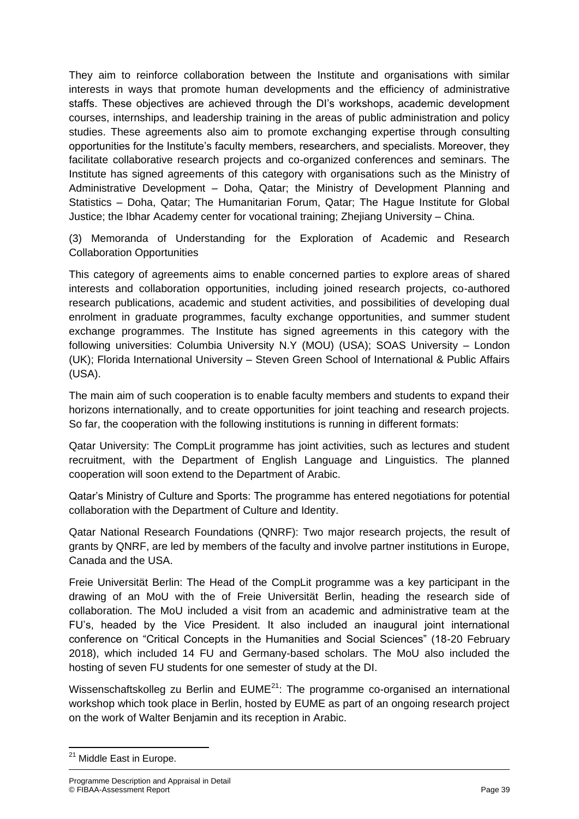They aim to reinforce collaboration between the Institute and organisations with similar interests in ways that promote human developments and the efficiency of administrative staffs. These objectives are achieved through the DI's workshops, academic development courses, internships, and leadership training in the areas of public administration and policy studies. These agreements also aim to promote exchanging expertise through consulting opportunities for the Institute's faculty members, researchers, and specialists. Moreover, they facilitate collaborative research projects and co-organized conferences and seminars. The Institute has signed agreements of this category with organisations such as the Ministry of Administrative Development – Doha, Qatar; the Ministry of Development Planning and Statistics – Doha, Qatar; The Humanitarian Forum, Qatar; The Hague Institute for Global Justice; the Ibhar Academy center for vocational training; Zhejiang University – China.

(3) Memoranda of Understanding for the Exploration of Academic and Research Collaboration Opportunities

This category of agreements aims to enable concerned parties to explore areas of shared interests and collaboration opportunities, including joined research projects, co-authored research publications, academic and student activities, and possibilities of developing dual enrolment in graduate programmes, faculty exchange opportunities, and summer student exchange programmes. The Institute has signed agreements in this category with the following universities: Columbia University N.Y (MOU) (USA); SOAS University – London (UK); Florida International University – Steven Green School of International & Public Affairs (USA).

The main aim of such cooperation is to enable faculty members and students to expand their horizons internationally, and to create opportunities for joint teaching and research projects. So far, the cooperation with the following institutions is running in different formats:

Qatar University: The CompLit programme has joint activities, such as lectures and student recruitment, with the Department of English Language and Linguistics. The planned cooperation will soon extend to the Department of Arabic.

Qatar's Ministry of Culture and Sports: The programme has entered negotiations for potential collaboration with the Department of Culture and Identity.

Qatar National Research Foundations (QNRF): Two major research projects, the result of grants by QNRF, are led by members of the faculty and involve partner institutions in Europe, Canada and the USA.

Freie Universität Berlin: The Head of the CompLit programme was a key participant in the drawing of an MoU with the of Freie Universität Berlin, heading the research side of collaboration. The MoU included a visit from an academic and administrative team at the FU's, headed by the Vice President. It also included an inaugural joint international conference on "Critical Concepts in the Humanities and Social Sciences" (18-20 February 2018), which included 14 FU and Germany-based scholars. The MoU also included the hosting of seven FU students for one semester of study at the DI.

Wissenschaftskolleg zu Berlin and  $EUME<sup>21</sup>$ : The programme co-organised an international workshop which took place in Berlin, hosted by EUME as part of an ongoing research project on the work of Walter Benjamin and its reception in Arabic.

**<sup>.</sup>** <sup>21</sup> Middle East in Europe.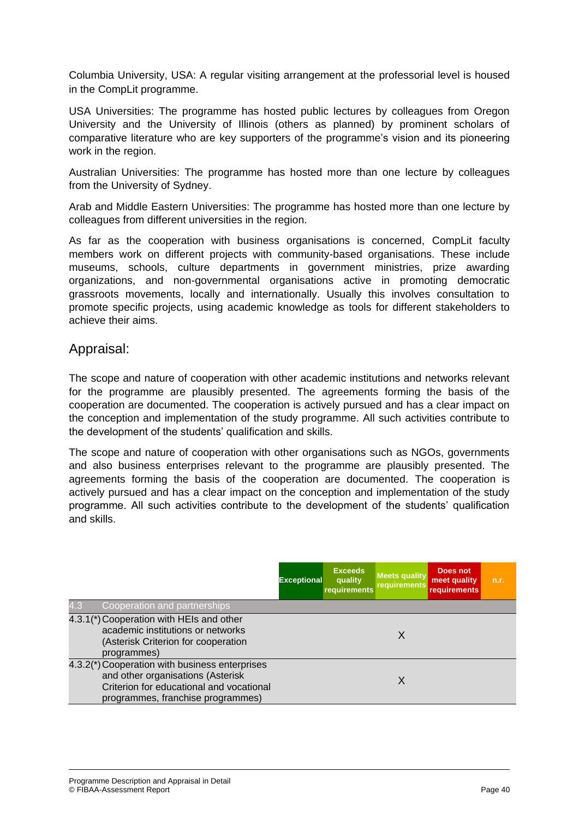Columbia University, USA: A regular visiting arrangement at the professorial level is housed in the CompLit programme.

USA Universities: The programme has hosted public lectures by colleagues from Oregon University and the University of Illinois (others as planned) by prominent scholars of comparative literature who are key supporters of the programme's vision and its pioneering work in the region.

Australian Universities: The programme has hosted more than one lecture by colleagues from the University of Sydney.

Arab and Middle Eastern Universities: The programme has hosted more than one lecture by colleagues from different universities in the region.

As far as the cooperation with business organisations is concerned, CompLit faculty members work on different projects with community-based organisations. These include museums, schools, culture departments in government ministries, prize awarding organizations, and non-governmental organisations active in promoting democratic grassroots movements, locally and internationally. Usually this involves consultation to promote specific projects, using academic knowledge as tools for different stakeholders to achieve their aims.

### Appraisal:

The scope and nature of cooperation with other academic institutions and networks relevant for the programme are plausibly presented. The agreements forming the basis of the cooperation are documented. The cooperation is actively pursued and has a clear impact on the conception and implementation of the study programme. All such activities contribute to the development of the students' qualification and skills.

The scope and nature of cooperation with other organisations such as NGOs, governments and also business enterprises relevant to the programme are plausibly presented. The agreements forming the basis of the cooperation are documented. The cooperation is actively pursued and has a clear impact on the conception and implementation of the study programme. All such activities contribute to the development of the students' qualification and skills.

|                                                                                                                                                                      | <b>Exceptional</b> | <b>Exceeds</b><br>quality<br>requirements | <b>Meets quality</b><br><b>requirements</b> | Does not<br>meet quality<br><b>requirements</b> | n.r. |
|----------------------------------------------------------------------------------------------------------------------------------------------------------------------|--------------------|-------------------------------------------|---------------------------------------------|-------------------------------------------------|------|
| 4.3<br>Cooperation and partnerships                                                                                                                                  |                    |                                           |                                             |                                                 |      |
| 4.3.1(*) Cooperation with HEIs and other<br>academic institutions or networks<br>(Asterisk Criterion for cooperation<br>programmes)                                  |                    |                                           | X                                           |                                                 |      |
| 4.3.2(*) Cooperation with business enterprises<br>and other organisations (Asterisk<br>Criterion for educational and vocational<br>programmes, franchise programmes) |                    |                                           | X                                           |                                                 |      |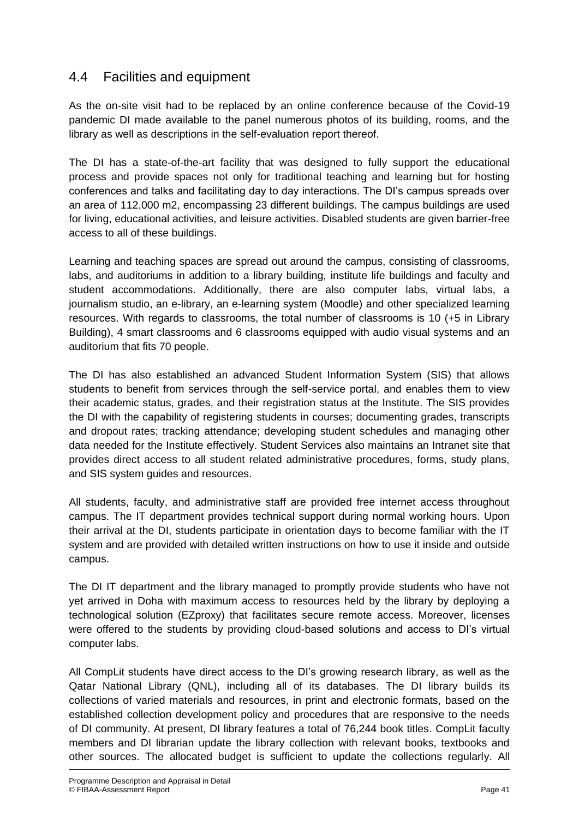## 4.4 Facilities and equipment

As the on-site visit had to be replaced by an online conference because of the Covid-19 pandemic DI made available to the panel numerous photos of its building, rooms, and the library as well as descriptions in the self-evaluation report thereof.

The DI has a state-of-the-art facility that was designed to fully support the educational process and provide spaces not only for traditional teaching and learning but for hosting conferences and talks and facilitating day to day interactions. The DI's campus spreads over an area of 112,000 m2, encompassing 23 different buildings. The campus buildings are used for living, educational activities, and leisure activities. Disabled students are given barrier-free access to all of these buildings.

Learning and teaching spaces are spread out around the campus, consisting of classrooms, labs, and auditoriums in addition to a library building, institute life buildings and faculty and student accommodations. Additionally, there are also computer labs, virtual labs, a journalism studio, an e-library, an e-learning system (Moodle) and other specialized learning resources. With regards to classrooms, the total number of classrooms is 10 (+5 in Library Building), 4 smart classrooms and 6 classrooms equipped with audio visual systems and an auditorium that fits 70 people.

The DI has also established an advanced Student Information System (SIS) that allows students to benefit from services through the self-service portal, and enables them to view their academic status, grades, and their registration status at the Institute. The SIS provides the DI with the capability of registering students in courses; documenting grades, transcripts and dropout rates; tracking attendance; developing student schedules and managing other data needed for the Institute effectively. Student Services also maintains an Intranet site that provides direct access to all student related administrative procedures, forms, study plans, and SIS system guides and resources.

All students, faculty, and administrative staff are provided free internet access throughout campus. The IT department provides technical support during normal working hours. Upon their arrival at the DI, students participate in orientation days to become familiar with the IT system and are provided with detailed written instructions on how to use it inside and outside campus.

The DI IT department and the library managed to promptly provide students who have not yet arrived in Doha with maximum access to resources held by the library by deploying a technological solution (EZproxy) that facilitates secure remote access. Moreover, licenses were offered to the students by providing cloud-based solutions and access to DI's virtual computer labs.

All CompLit students have direct access to the DI's growing research library, as well as the Qatar National Library (QNL), including all of its databases. The DI library builds its collections of varied materials and resources, in print and electronic formats, based on the established collection development policy and procedures that are responsive to the needs of DI community. At present, DI library features a total of 76,244 book titles. CompLit faculty members and DI librarian update the library collection with relevant books, textbooks and other sources. The allocated budget is sufficient to update the collections regularly. All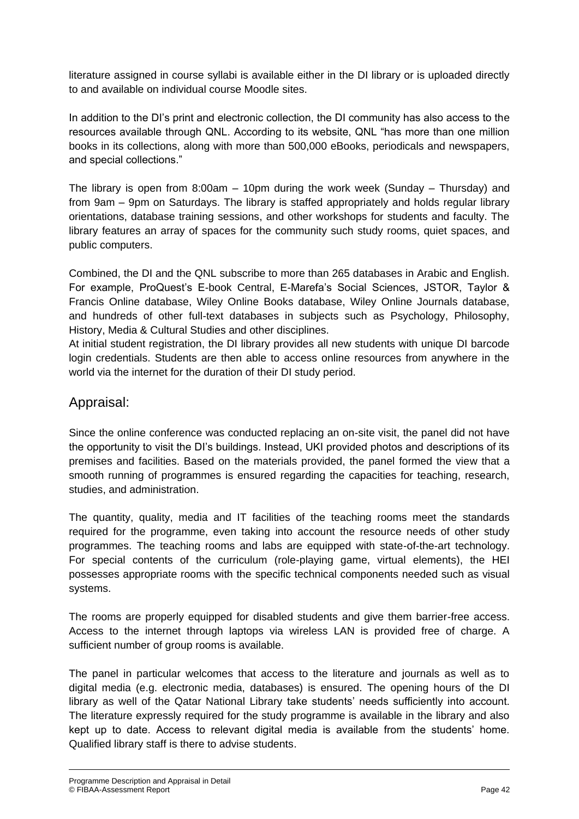literature assigned in course syllabi is available either in the DI library or is uploaded directly to and available on individual course Moodle sites.

In addition to the DI's print and electronic collection, the DI community has also access to the resources available through QNL. According to its website, QNL "has more than one million books in its collections, along with more than 500,000 eBooks, periodicals and newspapers, and special collections."

The library is open from 8:00am – 10pm during the work week (Sunday – Thursday) and from 9am – 9pm on Saturdays. The library is staffed appropriately and holds regular library orientations, database training sessions, and other workshops for students and faculty. The library features an array of spaces for the community such study rooms, quiet spaces, and public computers.

Combined, the DI and the QNL subscribe to more than 265 databases in Arabic and English. For example, ProQuest's E-book Central, E-Marefa's Social Sciences, JSTOR, Taylor & Francis Online database, Wiley Online Books database, Wiley Online Journals database, and hundreds of other full-text databases in subjects such as Psychology, Philosophy, History, Media & Cultural Studies and other disciplines.

At initial student registration, the DI library provides all new students with unique DI barcode login credentials. Students are then able to access online resources from anywhere in the world via the internet for the duration of their DI study period.

### Appraisal:

Since the online conference was conducted replacing an on-site visit, the panel did not have the opportunity to visit the DI's buildings. Instead, UKI provided photos and descriptions of its premises and facilities. Based on the materials provided, the panel formed the view that a smooth running of programmes is ensured regarding the capacities for teaching, research, studies, and administration.

The quantity, quality, media and IT facilities of the teaching rooms meet the standards required for the programme, even taking into account the resource needs of other study programmes. The teaching rooms and labs are equipped with state-of-the-art technology. For special contents of the curriculum (role-playing game, virtual elements), the HEI possesses appropriate rooms with the specific technical components needed such as visual systems.

The rooms are properly equipped for disabled students and give them barrier-free access. Access to the internet through laptops via wireless LAN is provided free of charge. A sufficient number of group rooms is available.

The panel in particular welcomes that access to the literature and journals as well as to digital media (e.g. electronic media, databases) is ensured. The opening hours of the DI library as well of the Qatar National Library take students' needs sufficiently into account. The literature expressly required for the study programme is available in the library and also kept up to date. Access to relevant digital media is available from the students' home. Qualified library staff is there to advise students.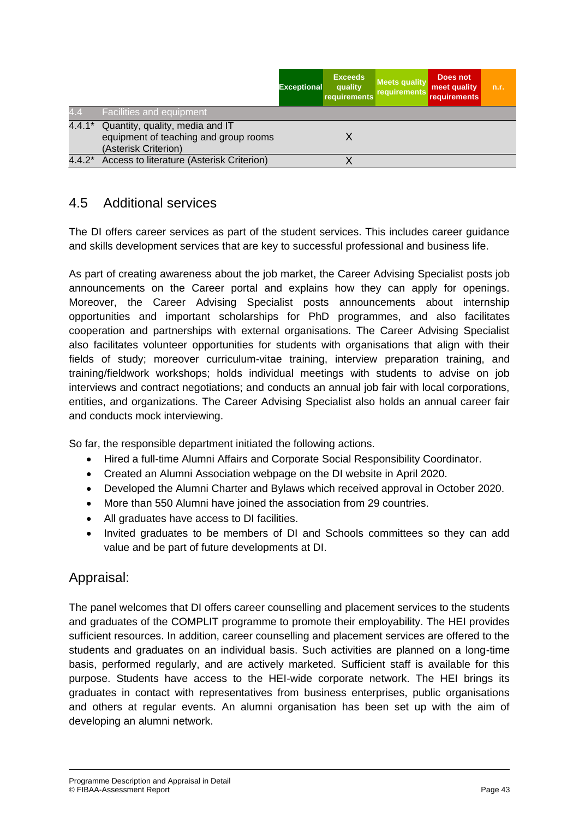|     |                                                                                                         | <b>Exceptional</b> | <b>Exceeds</b><br>quality<br>requirements | Meets quality<br>requirements | Does not<br>meet quality<br>requirements | n.r. |
|-----|---------------------------------------------------------------------------------------------------------|--------------------|-------------------------------------------|-------------------------------|------------------------------------------|------|
| 4.4 | Facilities and equipment                                                                                |                    |                                           |                               |                                          |      |
|     | 4.4.1* Quantity, quality, media and IT<br>equipment of teaching and group rooms<br>(Asterisk Criterion) |                    |                                           |                               |                                          |      |
|     | 4.4.2* Access to literature (Asterisk Criterion)                                                        |                    |                                           |                               |                                          |      |

## 4.5 Additional services

The DI offers career services as part of the student services. This includes career guidance and skills development services that are key to successful professional and business life.

As part of creating awareness about the job market, the Career Advising Specialist posts job announcements on the Career portal and explains how they can apply for openings. Moreover, the Career Advising Specialist posts announcements about internship opportunities and important scholarships for PhD programmes, and also facilitates cooperation and partnerships with external organisations. The Career Advising Specialist also facilitates volunteer opportunities for students with organisations that align with their fields of study; moreover curriculum-vitae training, interview preparation training, and training/fieldwork workshops; holds individual meetings with students to advise on job interviews and contract negotiations; and conducts an annual job fair with local corporations, entities, and organizations. The Career Advising Specialist also holds an annual career fair and conducts mock interviewing.

So far, the responsible department initiated the following actions.

- Hired a full-time Alumni Affairs and Corporate Social Responsibility Coordinator.
- Created an Alumni Association webpage on the DI website in April 2020.
- Developed the Alumni Charter and Bylaws which received approval in October 2020.
- More than 550 Alumni have joined the association from 29 countries.
- All graduates have access to DI facilities.
- Invited graduates to be members of DI and Schools committees so they can add value and be part of future developments at DI.

### Appraisal:

The panel welcomes that DI offers career counselling and placement services to the students and graduates of the COMPLIT programme to promote their employability. The HEI provides sufficient resources. In addition, career counselling and placement services are offered to the students and graduates on an individual basis. Such activities are planned on a long-time basis, performed regularly, and are actively marketed. Sufficient staff is available for this purpose. Students have access to the HEI-wide corporate network. The HEI brings its graduates in contact with representatives from business enterprises, public organisations and others at regular events. An alumni organisation has been set up with the aim of developing an alumni network.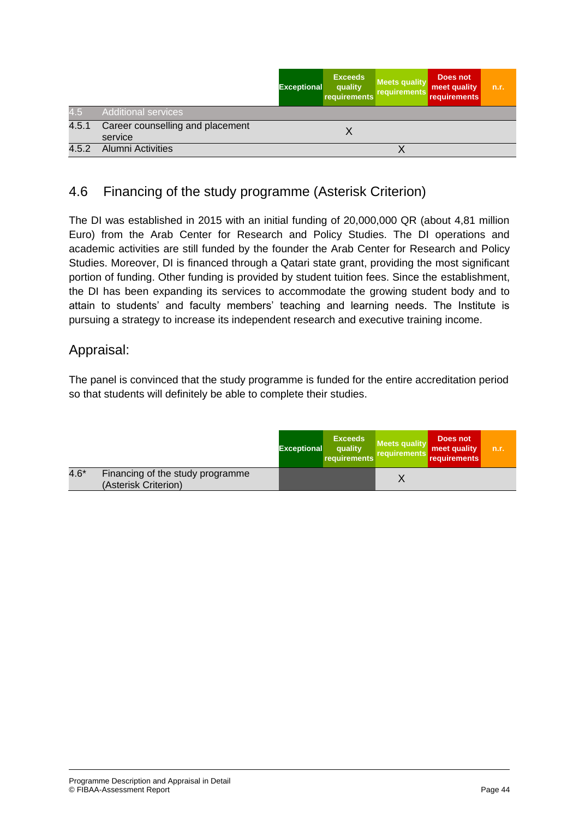|       |                                             | <b>Exceptional</b> | <b>Exceeds</b><br>quality<br>requirements | <b>Meets quality</b><br>requirements | Does not<br>meet quality<br>requirements | n.r. |
|-------|---------------------------------------------|--------------------|-------------------------------------------|--------------------------------------|------------------------------------------|------|
| 4.5   | <b>Additional services</b>                  |                    |                                           |                                      |                                          |      |
| 4.5.1 | Career counselling and placement<br>service |                    |                                           |                                      |                                          |      |
| 4.5.2 | Alumni Activities                           |                    |                                           |                                      |                                          |      |

## 4.6 Financing of the study programme (Asterisk Criterion)

The DI was established in 2015 with an initial funding of 20,000,000 QR (about 4,81 million Euro) from the Arab Center for Research and Policy Studies. The DI operations and academic activities are still funded by the founder the Arab Center for Research and Policy Studies. Moreover, DI is financed through a Qatari state grant, providing the most significant portion of funding. Other funding is provided by student tuition fees. Since the establishment, the DI has been expanding its services to accommodate the growing student body and to attain to students' and faculty members' teaching and learning needs. The Institute is pursuing a strategy to increase its independent research and executive training income.

### Appraisal:

The panel is convinced that the study programme is funded for the entire accreditation period so that students will definitely be able to complete their studies.

|        |                                                          | <b>Exceptional</b> | <b>Exceeds</b><br>quality<br>requirements | <b>Meets quality</b><br>requirements | Does not<br>meet quality<br>requirements | n.r. |
|--------|----------------------------------------------------------|--------------------|-------------------------------------------|--------------------------------------|------------------------------------------|------|
| $4.6*$ | Financing of the study programme<br>(Asterisk Criterion) |                    |                                           |                                      |                                          |      |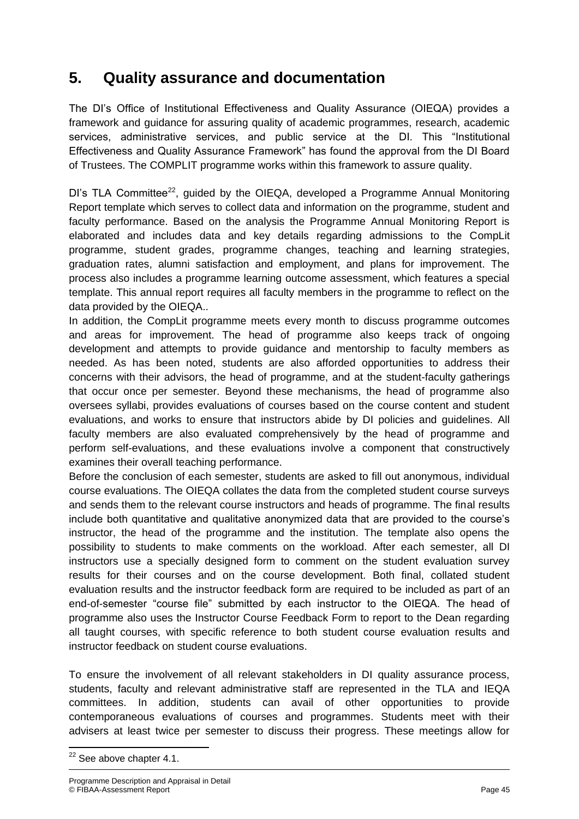## **5. Quality assurance and documentation**

The DI's Office of Institutional Effectiveness and Quality Assurance (OIEQA) provides a framework and guidance for assuring quality of academic programmes, research, academic services, administrative services, and public service at the DI. This "Institutional Effectiveness and Quality Assurance Framework" has found the approval from the DI Board of Trustees. The COMPLIT programme works within this framework to assure quality.

DI's TLA Committee<sup>22</sup>, quided by the OIEQA, developed a Programme Annual Monitoring Report template which serves to collect data and information on the programme, student and faculty performance. Based on the analysis the Programme Annual Monitoring Report is elaborated and includes data and key details regarding admissions to the CompLit programme, student grades, programme changes, teaching and learning strategies, graduation rates, alumni satisfaction and employment, and plans for improvement. The process also includes a programme learning outcome assessment, which features a special template. This annual report requires all faculty members in the programme to reflect on the data provided by the OIEQA..

In addition, the CompLit programme meets every month to discuss programme outcomes and areas for improvement. The head of programme also keeps track of ongoing development and attempts to provide guidance and mentorship to faculty members as needed. As has been noted, students are also afforded opportunities to address their concerns with their advisors, the head of programme, and at the student-faculty gatherings that occur once per semester. Beyond these mechanisms, the head of programme also oversees syllabi, provides evaluations of courses based on the course content and student evaluations, and works to ensure that instructors abide by DI policies and guidelines. All faculty members are also evaluated comprehensively by the head of programme and perform self-evaluations, and these evaluations involve a component that constructively examines their overall teaching performance.

Before the conclusion of each semester, students are asked to fill out anonymous, individual course evaluations. The OIEQA collates the data from the completed student course surveys and sends them to the relevant course instructors and heads of programme. The final results include both quantitative and qualitative anonymized data that are provided to the course's instructor, the head of the programme and the institution. The template also opens the possibility to students to make comments on the workload. After each semester, all DI instructors use a specially designed form to comment on the student evaluation survey results for their courses and on the course development. Both final, collated student evaluation results and the instructor feedback form are required to be included as part of an end-of-semester "course file" submitted by each instructor to the OIEQA. The head of programme also uses the Instructor Course Feedback Form to report to the Dean regarding all taught courses, with specific reference to both student course evaluation results and instructor feedback on student course evaluations.

To ensure the involvement of all relevant stakeholders in DI quality assurance process, students, faculty and relevant administrative staff are represented in the TLA and IEQA committees. In addition, students can avail of other opportunities to provide contemporaneous evaluations of courses and programmes. Students meet with their advisers at least twice per semester to discuss their progress. These meetings allow for

**<sup>.</sup>**  $22$  See above chapter 4.1.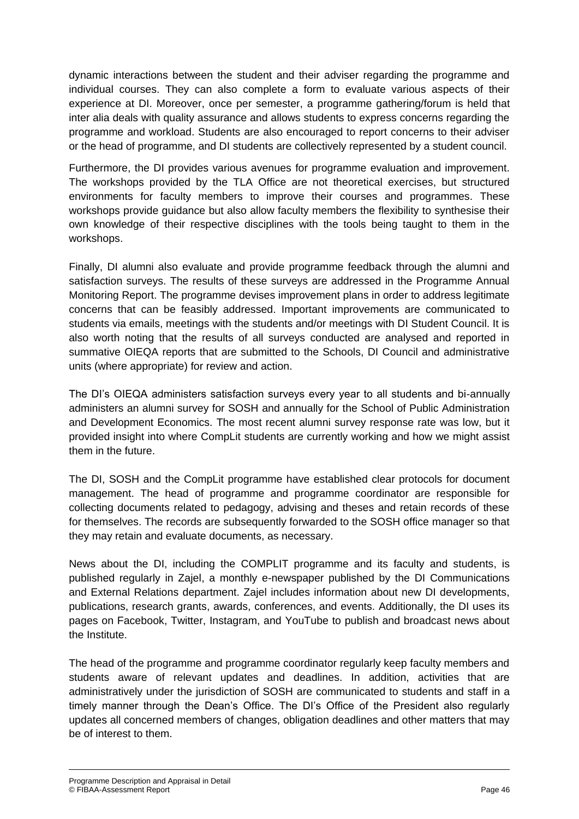dynamic interactions between the student and their adviser regarding the programme and individual courses. They can also complete a form to evaluate various aspects of their experience at DI. Moreover, once per semester, a programme gathering/forum is held that inter alia deals with quality assurance and allows students to express concerns regarding the programme and workload. Students are also encouraged to report concerns to their adviser or the head of programme, and DI students are collectively represented by a student council.

Furthermore, the DI provides various avenues for programme evaluation and improvement. The workshops provided by the TLA Office are not theoretical exercises, but structured environments for faculty members to improve their courses and programmes. These workshops provide guidance but also allow faculty members the flexibility to synthesise their own knowledge of their respective disciplines with the tools being taught to them in the workshops.

Finally, DI alumni also evaluate and provide programme feedback through the alumni and satisfaction surveys. The results of these surveys are addressed in the Programme Annual Monitoring Report. The programme devises improvement plans in order to address legitimate concerns that can be feasibly addressed. Important improvements are communicated to students via emails, meetings with the students and/or meetings with DI Student Council. It is also worth noting that the results of all surveys conducted are analysed and reported in summative OIEQA reports that are submitted to the Schools, DI Council and administrative units (where appropriate) for review and action.

The DI's OIEQA administers satisfaction surveys every year to all students and bi-annually administers an alumni survey for SOSH and annually for the School of Public Administration and Development Economics. The most recent alumni survey response rate was low, but it provided insight into where CompLit students are currently working and how we might assist them in the future.

The DI, SOSH and the CompLit programme have established clear protocols for document management. The head of programme and programme coordinator are responsible for collecting documents related to pedagogy, advising and theses and retain records of these for themselves. The records are subsequently forwarded to the SOSH office manager so that they may retain and evaluate documents, as necessary.

News about the DI, including the COMPLIT programme and its faculty and students, is published regularly in Zajel, a monthly e-newspaper published by the DI Communications and External Relations department. Zajel includes information about new DI developments, publications, research grants, awards, conferences, and events. Additionally, the DI uses its pages on Facebook, Twitter, Instagram, and YouTube to publish and broadcast news about the Institute.

The head of the programme and programme coordinator regularly keep faculty members and students aware of relevant updates and deadlines. In addition, activities that are administratively under the jurisdiction of SOSH are communicated to students and staff in a timely manner through the Dean's Office. The DI's Office of the President also regularly updates all concerned members of changes, obligation deadlines and other matters that may be of interest to them.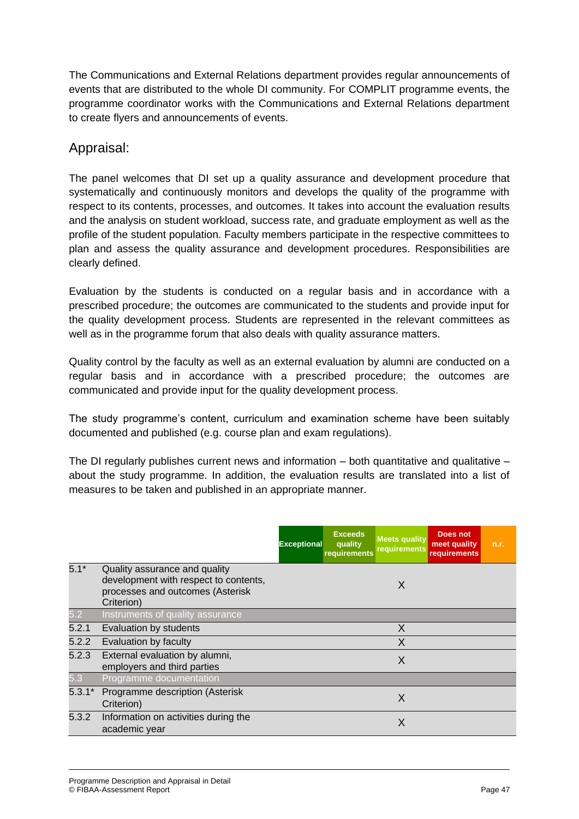The Communications and External Relations department provides regular announcements of events that are distributed to the whole DI community. For COMPLIT programme events, the programme coordinator works with the Communications and External Relations department to create flyers and announcements of events.

## Appraisal:

The panel welcomes that DI set up a quality assurance and development procedure that systematically and continuously monitors and develops the quality of the programme with respect to its contents, processes, and outcomes. It takes into account the evaluation results and the analysis on student workload, success rate, and graduate employment as well as the profile of the student population. Faculty members participate in the respective committees to plan and assess the quality assurance and development procedures. Responsibilities are clearly defined.

Evaluation by the students is conducted on a regular basis and in accordance with a prescribed procedure; the outcomes are communicated to the students and provide input for the quality development process. Students are represented in the relevant committees as well as in the programme forum that also deals with quality assurance matters.

Quality control by the faculty as well as an external evaluation by alumni are conducted on a regular basis and in accordance with a prescribed procedure; the outcomes are communicated and provide input for the quality development process.

The study programme's content, curriculum and examination scheme have been suitably documented and published (e.g. course plan and exam regulations).

The DI regularly publishes current news and information  $-$  both quantitative and qualitative  $$ about the study programme. In addition, the evaluation results are translated into a list of measures to be taken and published in an appropriate manner.

|          |                                                                                                                          | <b>Exceeds</b><br><b>Exceptional</b><br>quality<br>requirements | <b>Meets quality</b><br><b>requirements</b> | <b>Does not</b><br>meet quality<br><b>requirements</b> | n.r. |
|----------|--------------------------------------------------------------------------------------------------------------------------|-----------------------------------------------------------------|---------------------------------------------|--------------------------------------------------------|------|
| $5.1*$   | Quality assurance and quality<br>development with respect to contents,<br>processes and outcomes (Asterisk<br>Criterion) |                                                                 | X                                           |                                                        |      |
| 5.2      | Instruments of quality assurance                                                                                         |                                                                 |                                             |                                                        |      |
| 5.2.1    | Evaluation by students                                                                                                   |                                                                 | X                                           |                                                        |      |
| 5.2.2    | Evaluation by faculty                                                                                                    |                                                                 | X                                           |                                                        |      |
| 5.2.3    | External evaluation by alumni,<br>employers and third parties                                                            |                                                                 | X                                           |                                                        |      |
| 5.3      | Programme documentation                                                                                                  |                                                                 |                                             |                                                        |      |
| $5.3.1*$ | Programme description (Asterisk<br>Criterion)                                                                            |                                                                 | X                                           |                                                        |      |
| 5.3.2    | Information on activities during the<br>academic year                                                                    |                                                                 | X                                           |                                                        |      |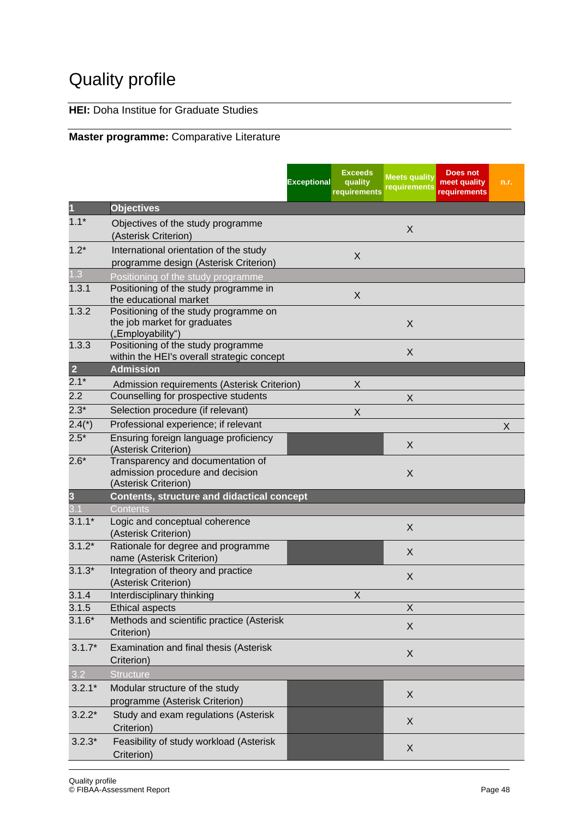# Quality profile

## **HEI:** Doha Institue for Graduate Studies

#### **Master programme:** Comparative Literature

|                         |                                                                                                      | <b>Exceptional</b> | <b>Exceeds</b><br>quality<br>requirements | <b>Meets quality</b><br>requirements | Does not<br>meet quality<br>requirements | n.r. |
|-------------------------|------------------------------------------------------------------------------------------------------|--------------------|-------------------------------------------|--------------------------------------|------------------------------------------|------|
|                         | <b>Objectives</b>                                                                                    |                    |                                           |                                      |                                          |      |
| $1.1*$                  | Objectives of the study programme<br>(Asterisk Criterion)                                            |                    |                                           | X                                    |                                          |      |
| $1.2*$                  | International orientation of the study<br>programme design (Asterisk Criterion)                      |                    | X                                         |                                      |                                          |      |
| 1.3                     | Positioning of the study programme                                                                   |                    |                                           |                                      |                                          |      |
| 1.3.1                   | Positioning of the study programme in<br>the educational market                                      |                    | $\sf X$                                   |                                      |                                          |      |
| 1.3.2                   | Positioning of the study programme on<br>the job market for graduates<br>("Employability")           |                    |                                           | X                                    |                                          |      |
| 1.3.3<br>$\overline{2}$ | Positioning of the study programme<br>within the HEI's overall strategic concept<br><b>Admission</b> |                    |                                           | X                                    |                                          |      |
| $2.1*$                  | Admission requirements (Asterisk Criterion)                                                          |                    | X                                         |                                      |                                          |      |
| 2.2                     | Counselling for prospective students                                                                 |                    |                                           | X                                    |                                          |      |
| $2.3*$                  | Selection procedure (if relevant)                                                                    |                    | X                                         |                                      |                                          |      |
| $2.4(*)$                | Professional experience; if relevant                                                                 |                    |                                           |                                      |                                          | X    |
| $2.5*$                  | Ensuring foreign language proficiency<br>(Asterisk Criterion)                                        |                    |                                           | X                                    |                                          |      |
| $2.6*$                  | Transparency and documentation of<br>admission procedure and decision<br>(Asterisk Criterion)        |                    |                                           | X                                    |                                          |      |
| $\overline{\mathbf{3}}$ | Contents, structure and didactical concept                                                           |                    |                                           |                                      |                                          |      |
| 3.1                     | Contents                                                                                             |                    |                                           |                                      |                                          |      |
| $3.1.1*$                | Logic and conceptual coherence<br>(Asterisk Criterion)                                               |                    |                                           | X                                    |                                          |      |
| $3.1.2*$                | Rationale for degree and programme<br>name (Asterisk Criterion)                                      |                    |                                           | X                                    |                                          |      |
| $3.1.3*$                | Integration of theory and practice<br>(Asterisk Criterion)                                           |                    |                                           | X                                    |                                          |      |
| 3.1.4                   | Interdisciplinary thinking                                                                           |                    | X                                         |                                      |                                          |      |
| 3.1.5                   | <b>Ethical aspects</b>                                                                               |                    |                                           | X                                    |                                          |      |
| $3.1.6*$                | Methods and scientific practice (Asterisk<br>Criterion)                                              |                    |                                           | X                                    |                                          |      |
| $3.1.7*$                | Examination and final thesis (Asterisk<br>Criterion)                                                 |                    |                                           | X                                    |                                          |      |
| 3.2                     | <b>Structure</b>                                                                                     |                    |                                           |                                      |                                          |      |
| $3.2.1*$                | Modular structure of the study<br>programme (Asterisk Criterion)                                     |                    |                                           | X                                    |                                          |      |
| $3.2.2*$                | Study and exam regulations (Asterisk<br>Criterion)                                                   |                    |                                           | X                                    |                                          |      |
| $3.2.3*$                | Feasibility of study workload (Asterisk<br>Criterion)                                                |                    |                                           | X                                    |                                          |      |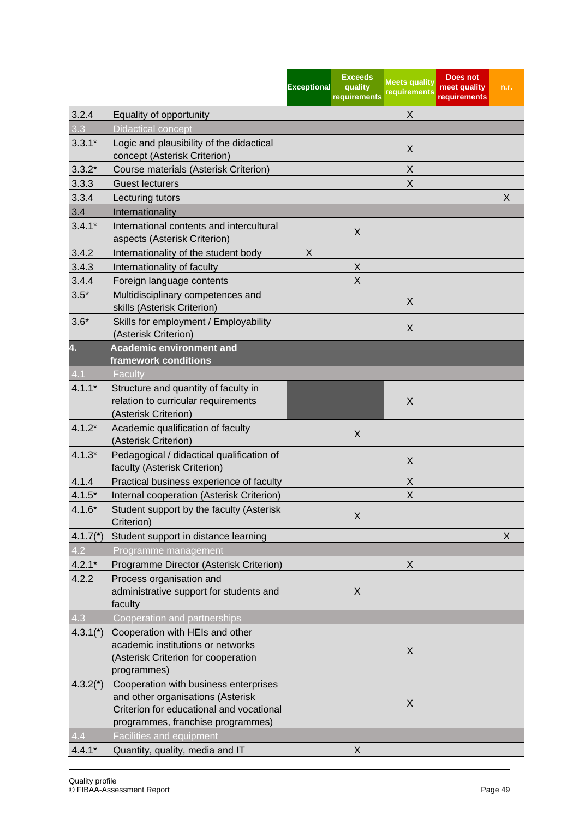|            |                                                                                                                                                             | <b>Exceptional</b> | <b>Exceeds</b><br>quality<br>requirements | <b>Meets quality</b><br>requirements | <b>Does not</b><br>meet quality<br>requirements | n.r. |
|------------|-------------------------------------------------------------------------------------------------------------------------------------------------------------|--------------------|-------------------------------------------|--------------------------------------|-------------------------------------------------|------|
| 3.2.4      | Equality of opportunity                                                                                                                                     |                    |                                           | X                                    |                                                 |      |
| 3.3        | <b>Didactical concept</b>                                                                                                                                   |                    |                                           |                                      |                                                 |      |
| $3.3.1*$   | Logic and plausibility of the didactical<br>concept (Asterisk Criterion)                                                                                    |                    |                                           | X                                    |                                                 |      |
| $3.3.2*$   | Course materials (Asterisk Criterion)                                                                                                                       |                    |                                           | X                                    |                                                 |      |
| 3.3.3      | <b>Guest lecturers</b>                                                                                                                                      |                    |                                           | X                                    |                                                 |      |
| 3.3.4      | Lecturing tutors                                                                                                                                            |                    |                                           |                                      |                                                 | X    |
| 3.4        | Internationality                                                                                                                                            |                    |                                           |                                      |                                                 |      |
| $3.4.1*$   | International contents and intercultural<br>aspects (Asterisk Criterion)                                                                                    |                    | X                                         |                                      |                                                 |      |
| 3.4.2      | Internationality of the student body                                                                                                                        | X                  |                                           |                                      |                                                 |      |
| 3.4.3      | Internationality of faculty                                                                                                                                 |                    | X                                         |                                      |                                                 |      |
| 3.4.4      | Foreign language contents                                                                                                                                   |                    | X                                         |                                      |                                                 |      |
| $3.5*$     | Multidisciplinary competences and<br>skills (Asterisk Criterion)                                                                                            |                    |                                           | X                                    |                                                 |      |
| $3.6*$     | Skills for employment / Employability<br>(Asterisk Criterion)                                                                                               |                    |                                           | X                                    |                                                 |      |
| 4.         | <b>Academic environment and</b>                                                                                                                             |                    |                                           |                                      |                                                 |      |
|            | framework conditions                                                                                                                                        |                    |                                           |                                      |                                                 |      |
| 4.1        | Faculty                                                                                                                                                     |                    |                                           |                                      |                                                 |      |
| $4.1.1*$   | Structure and quantity of faculty in<br>relation to curricular requirements<br>(Asterisk Criterion)                                                         |                    |                                           | X                                    |                                                 |      |
| $4.1.2*$   | Academic qualification of faculty<br>(Asterisk Criterion)                                                                                                   |                    | X                                         |                                      |                                                 |      |
| $4.1.3*$   | Pedagogical / didactical qualification of<br>faculty (Asterisk Criterion)                                                                                   |                    |                                           | X                                    |                                                 |      |
| 4.1.4      | Practical business experience of faculty                                                                                                                    |                    |                                           | X                                    |                                                 |      |
| $4.1.5*$   | Internal cooperation (Asterisk Criterion)                                                                                                                   |                    |                                           | X                                    |                                                 |      |
| $4.1.6*$   | Student support by the faculty (Asterisk<br>Criterion)                                                                                                      |                    | X                                         |                                      |                                                 |      |
| $4.1.7(*)$ | Student support in distance learning                                                                                                                        |                    |                                           |                                      |                                                 | X    |
| 4.2        | Programme management                                                                                                                                        |                    |                                           |                                      |                                                 |      |
| $4.2.1*$   | Programme Director (Asterisk Criterion)                                                                                                                     |                    |                                           | X                                    |                                                 |      |
| 4.2.2      | Process organisation and<br>administrative support for students and<br>faculty                                                                              |                    | X                                         |                                      |                                                 |      |
| 4.3        | Cooperation and partnerships                                                                                                                                |                    |                                           |                                      |                                                 |      |
| $4.3.1*$   | Cooperation with HEIs and other<br>academic institutions or networks<br>(Asterisk Criterion for cooperation<br>programmes)                                  |                    |                                           | X                                    |                                                 |      |
| $4.3.2(*)$ | Cooperation with business enterprises<br>and other organisations (Asterisk<br>Criterion for educational and vocational<br>programmes, franchise programmes) |                    |                                           | X                                    |                                                 |      |
| 4.4        | <b>Facilities and equipment</b>                                                                                                                             |                    |                                           |                                      |                                                 |      |
| $4.4.1*$   | Quantity, quality, media and IT                                                                                                                             |                    | X                                         |                                      |                                                 |      |